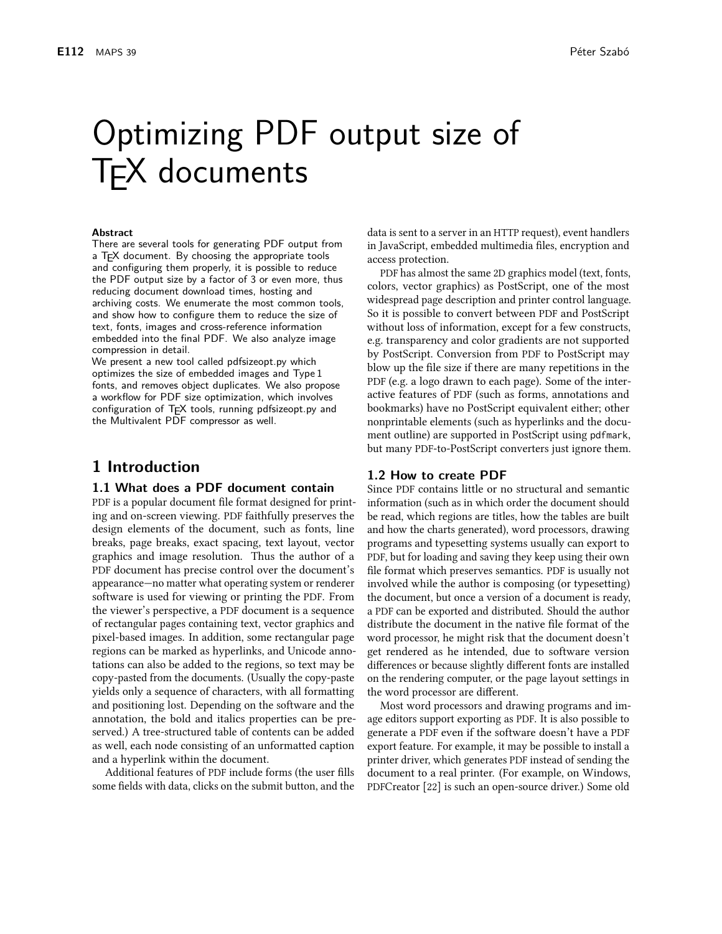# Optimizing PDF output size of **TFX** documents

#### **Abstract**

There are several tools for generating PDF output from a TFX document. By choosing the appropriate tools and configuring them properly, it is possible to reduce the PDF output size by a factor of 3 or even more, thus reducing document download times, hosting and archiving costs. We enumerate the most common tools, and show how to configure them to reduce the size of text, fonts, images and cross-reference information embedded into the final PDF. We also analyze image compression in detail.

We present a new tool called pdfsizeopt.py which optimizes the size of embedded images and Type 1 fonts, and removes object duplicates. We also propose a workflow for PDF size optimization, which involves configuration of TEX tools, running pdfsizeopt.py and the Multivalent PDF compressor as well.

# 1 Introduction

## 1.1 What does a PDF document contain

PDF is a popular document file format designed for printing and on-screen viewing. PDF faithfully preserves the design elements of the document, such as fonts, line breaks, page breaks, exact spacing, text layout, vector graphics and image resolution. Thus the author of a PDF document has precise control over the document's appearance—no matter what operating system or renderer software is used for viewing or printing the PDF. From the viewer's perspective, a PDF document is a sequence of rectangular pages containing text, vector graphics and pixel-based images. In addition, some rectangular page regions can be marked as hyperlinks, and Unicode annotations can also be added to the regions, so text may be copy-pasted from the documents. (Usually the copy-paste yields only a sequence of characters, with all formatting and positioning lost. Depending on the software and the annotation, the bold and italics properties can be preserved.) A tree-structured table of contents can be added as well, each node consisting of an unformatted caption and a hyperlink within the document.

Additional features of PDF include forms (the user fills some fields with data, clicks on the submit button, and the data is sent to a server in an HTTP request), event handlers in JavaScript, embedded multimedia files, encryption and access protection.

PDF has almost the same 2D graphics model (text, fonts, colors, vector graphics) as PostScript, one of the most widespread page description and printer control language. So it is possible to convert between PDF and PostScript without loss of information, except for a few constructs, e.g. transparency and color gradients are not supported by PostScript. Conversion from PDF to PostScript may blow up the file size if there are many repetitions in the PDF (e.g. a logo drawn to each page). Some of the interactive features of PDF (such as forms, annotations and bookmarks) have no PostScript equivalent either; other nonprintable elements (such as hyperlinks and the document outline) are supported in PostScript using pdfmark, but many PDF-to-PostScript converters just ignore them.

## 1.2 How to create PDF

Since PDF contains little or no structural and semantic information (such as in which order the document should be read, which regions are titles, how the tables are built and how the charts generated), word processors, drawing programs and typesetting systems usually can export to PDF, but for loading and saving they keep using their own file format which preserves semantics. PDF is usually not involved while the author is composing (or typesetting) the document, but once a version of a document is ready, a PDF can be exported and distributed. Should the author distribute the document in the native file format of the word processor, he might risk that the document doesn't get rendered as he intended, due to software version differences or because slightly different fonts are installed on the rendering computer, or the page layout settings in the word processor are different.

Most word processors and drawing programs and image editors support exporting as PDF. It is also possible to generate a PDF even if the software doesn't have a PDF export feature. For example, it may be possible to install a printer driver, which generates PDF instead of sending the document to a real printer. (For example, on Windows, PDFCreator [22] is such an open-source driver.) Some old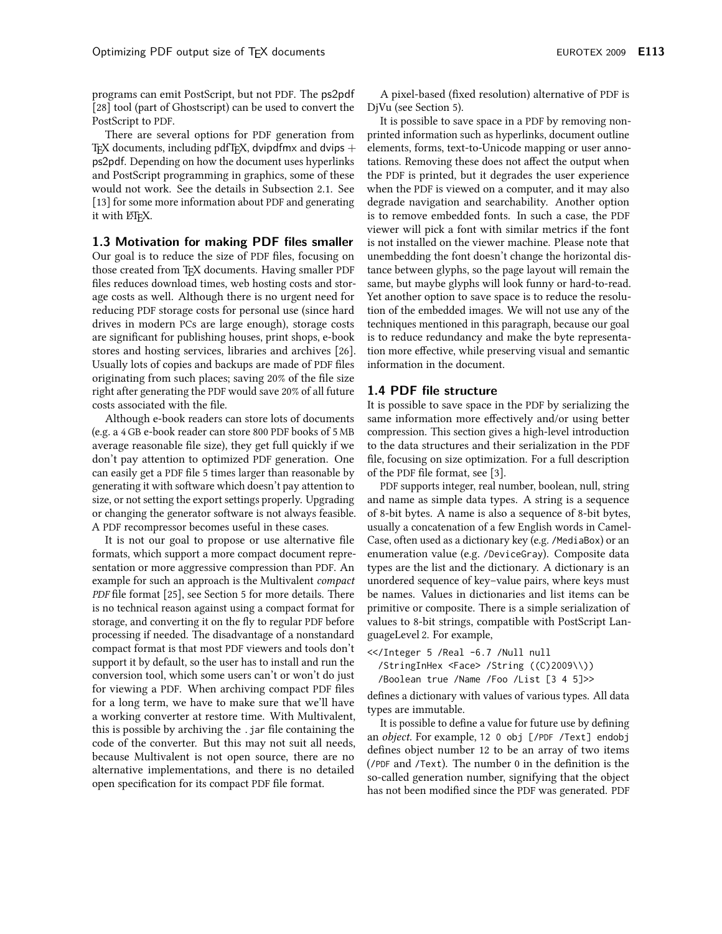programs can emit PostScript, but not PDF. The ps2pdf [28] tool (part of Ghostscript) can be used to convert the PostScript to PDF.

There are several options for PDF generation from T<sub>E</sub>X documents, including pdfT<sub>E</sub>X, dvipdfmx and dvips  $+$ ps2pdf. Depending on how the document uses hyperlinks and PostScript programming in graphics, some of these would not work. See the details in Subsection 2.1. See [13] for some more information about PDF and generating it with LIFX.

## 1.3 Motivation for making PDF files smaller

Our goal is to reduce the size of PDF files, focusing on those created from TFX documents. Having smaller PDF files reduces download times, web hosting costs and storage costs as well. Although there is no urgent need for reducing PDF storage costs for personal use (since hard drives in modern PCs are large enough), storage costs are significant for publishing houses, print shops, e-book stores and hosting services, libraries and archives [26]. Usually lots of copies and backups are made of PDF files originating from such places; saving 20% of the file size right after generating the PDF would save 20% of all future costs associated with the file.

Although e-book readers can store lots of documents (e.g. a 4 GB e-book reader can store 800 PDF books of 5 MB average reasonable file size), they get full quickly if we don't pay attention to optimized PDF generation. One can easily get a PDF file 5 times larger than reasonable by generating it with software which doesn't pay attention to size, or not setting the export settings properly. Upgrading or changing the generator software is not always feasible. A PDF recompressor becomes useful in these cases.

It is not our goal to propose or use alternative file formats, which support a more compact document representation or more aggressive compression than PDF. An example for such an approach is the Multivalent compact PDF file format [25], see Section 5 for more details. There is no technical reason against using a compact format for storage, and converting it on the fly to regular PDF before processing if needed. The disadvantage of a nonstandard compact format is that most PDF viewers and tools don't support it by default, so the user has to install and run the conversion tool, which some users can't or won't do just for viewing a PDF. When archiving compact PDF files for a long term, we have to make sure that we'll have a working converter at restore time. With Multivalent, this is possible by archiving the .jar file containing the code of the converter. But this may not suit all needs, because Multivalent is not open source, there are no alternative implementations, and there is no detailed open specification for its compact PDF file format.

A pixel-based (fixed resolution) alternative of PDF is DjVu (see Section 5).

It is possible to save space in a PDF by removing nonprinted information such as hyperlinks, document outline elements, forms, text-to-Unicode mapping or user annotations. Removing these does not affect the output when the PDF is printed, but it degrades the user experience when the PDF is viewed on a computer, and it may also degrade navigation and searchability. Another option is to remove embedded fonts. In such a case, the PDF viewer will pick a font with similar metrics if the font is not installed on the viewer machine. Please note that unembedding the font doesn't change the horizontal distance between glyphs, so the page layout will remain the same, but maybe glyphs will look funny or hard-to-read. Yet another option to save space is to reduce the resolution of the embedded images. We will not use any of the techniques mentioned in this paragraph, because our goal is to reduce redundancy and make the byte representation more effective, while preserving visual and semantic information in the document.

## 1.4 PDF file structure

It is possible to save space in the PDF by serializing the same information more effectively and/or using better compression. This section gives a high-level introduction to the data structures and their serialization in the PDF file, focusing on size optimization. For a full description of the PDF file format, see [3].

PDF supports integer, real number, boolean, null, string and name as simple data types. A string is a sequence of 8-bit bytes. A name is also a sequence of 8-bit bytes, usually a concatenation of a few English words in Camel-Case, often used as a dictionary key (e.g. /MediaBox) or an enumeration value (e.g. /DeviceGray). Composite data types are the list and the dictionary. A dictionary is an unordered sequence of key-value pairs, where keys must be names. Values in dictionaries and list items can be primitive or composite. There is a simple serialization of values to 8-bit strings, compatible with PostScript LanguageLevel 2. For example,

<</Integer 5 /Real -6.7 /Null null /StringInHex <Face> /String ((C)2009\\)) /Boolean true /Name /Foo /List [3 4 5]>>

defines a dictionary with values of various types. All data types are immutable.

It is possible to define a value for future use by defining an object. For example, 12 0 obj [/PDF /Text] endobj defines object number 12 to be an array of two items (/PDF and /Text). The number 0 in the definition is the so-called generation number, signifying that the object has not been modified since the PDF was generated. PDF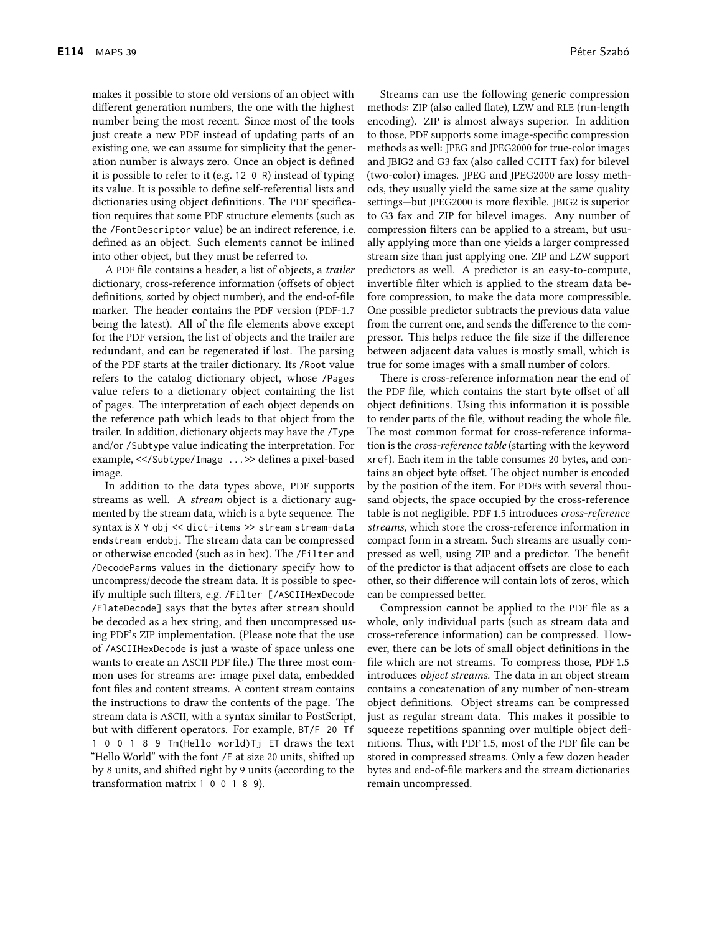different generation numbers, the one with the highest number being the most recent. Since most of the tools just create a new PDF instead of updating parts of an existing one, we can assume for simplicity that the generation number is always zero. Once an object is defined it is possible to refer to it (e.g. 12 0 R) instead of typing its value. It is possible to define self-referential lists and dictionaries using object definitions. The PDF specification requires that some PDF structure elements (such as the /FontDescriptor value) be an indirect reference, i.e. defined as an object. Such elements cannot be inlined into other object, but they must be referred to.

A PDF file contains a header, a list of objects, a trailer dictionary, cross-reference information (offsets of object definitions, sorted by object number), and the end-of-file marker. The header contains the PDF version (PDF-1.7) being the latest). All of the file elements above except for the PDF version, the list of objects and the trailer are redundant, and can be regenerated if lost. The parsing of the PDF starts at the trailer dictionary. Its /Root value refers to the catalog dictionary object, whose /Pages value refers to a dictionary object containing the list of pages. The interpretation of each object depends on the reference path which leads to that object from the trailer. In addition, dictionary objects may have the /Type and/or /Subtype value indicating the interpretation. For example, <</Subtype/Image ... >> defines a pixel-based image.

In addition to the data types above, PDF supports streams as well. A *stream* object is a dictionary augmented by the stream data, which is a byte sequence. The syntax is X Y obj << dict-items >> stream stream-data endstream endobj. The stream data can be compressed or otherwise encoded (such as in hex). The /Filter and /DecodeParms values in the dictionary specify how to uncompress/decode the stream data. It is possible to specify multiple such filters, e.g. /Filter [/ASCIIHexDecode /FlateDecode] says that the bytes after stream should be decoded as a hex string, and then uncompressed using PDF's ZIP implementation. (Please note that the use of /ASCIIHexDecode is just a waste of space unless one wants to create an ASCII PDF file.) The three most common uses for streams are: image pixel data, embedded font files and content streams. A content stream contains the instructions to draw the contents of the page. The stream data is ASCII, with a syntax similar to PostScript, but with different operators. For example, BT/F 20 Tf 1 0 0 1 8 9 Tm(Hello world) Tj ET draws the text "Hello World" with the font /F at size 20 units, shifted up by 8 units, and shifted right by 9 units (according to the transformation matrix 1 0 0 1 8 9).

Péter Szabó

methods: ZIP (also called flate), LZW and RLE (run-length encoding). ZIP is almost always superior. In addition to those, PDF supports some image-specific compression methods as well: JPEG and JPEG2000 for true-color images and JBIG2 and G3 fax (also called CCITT fax) for bilevel (two-color) images. JPEG and JPEG2000 are lossy methods, they usually yield the same size at the same quality settings-but JPEG2000 is more flexible. JBIG2 is superior to G3 fax and ZIP for bilevel images. Any number of compression filters can be applied to a stream, but usually applying more than one yields a larger compressed stream size than just applying one. ZIP and LZW support predictors as well. A predictor is an easy-to-compute, invertible filter which is applied to the stream data before compression, to make the data more compressible. One possible predictor subtracts the previous data value from the current one, and sends the difference to the compressor. This helps reduce the file size if the difference between adjacent data values is mostly small, which is true for some images with a small number of colors.

There is cross-reference information near the end of the PDF file, which contains the start byte offset of all object definitions. Using this information it is possible to render parts of the file, without reading the whole file. The most common format for cross-reference information is the cross-reference table (starting with the keyword xref). Each item in the table consumes 20 bytes, and contains an object byte offset. The object number is encoded by the position of the item. For PDFs with several thousand objects, the space occupied by the cross-reference table is not negligible. PDF 1.5 introduces cross-reference streams, which store the cross-reference information in compact form in a stream. Such streams are usually compressed as well, using ZIP and a predictor. The benefit of the predictor is that adjacent offsets are close to each other, so their difference will contain lots of zeros, which can be compressed better.

Compression cannot be applied to the PDF file as a whole, only individual parts (such as stream data and cross-reference information) can be compressed. However, there can be lots of small object definitions in the file which are not streams. To compress those, PDF 1.5 introduces object streams. The data in an object stream contains a concatenation of any number of non-stream object definitions. Object streams can be compressed just as regular stream data. This makes it possible to squeeze repetitions spanning over multiple object definitions. Thus, with PDF 1.5, most of the PDF file can be stored in compressed streams. Only a few dozen header bytes and end-of-file markers and the stream dictionaries remain uncompressed.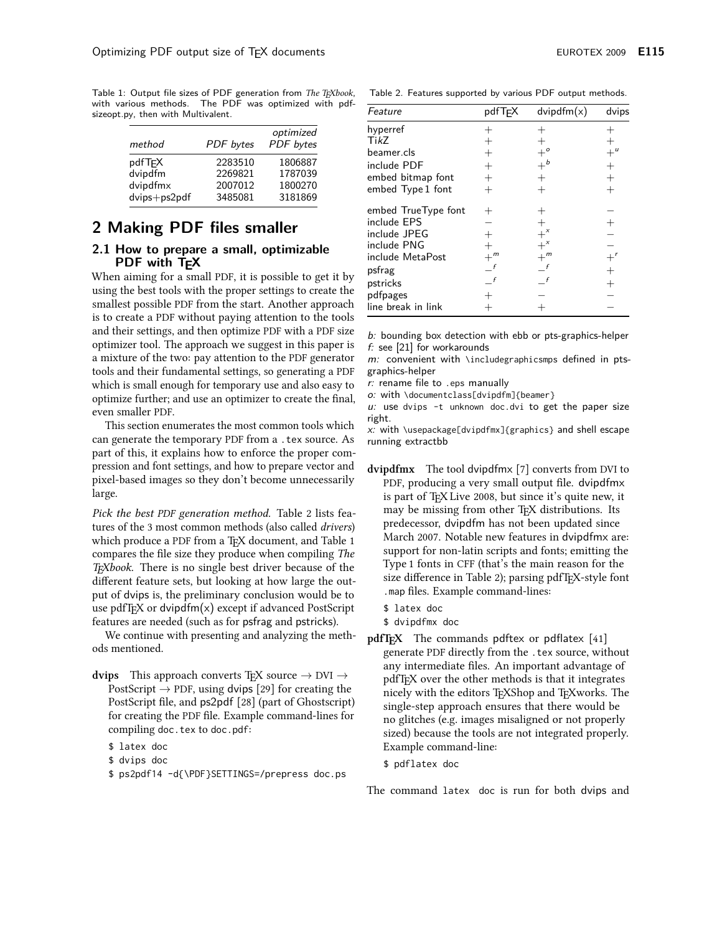Table 1: Output file sizes of PDF generation from The TEXbook, with various methods. The PDF was optimized with pdfsizeopt.py, then with Multivalent.

| method                         | <b>PDF</b> bytes   | optimized<br>PDF bytes |
|--------------------------------|--------------------|------------------------|
| pdfT <sub>F</sub> X<br>dvipdfm | 2283510<br>2269821 | 1806887<br>1787039     |
| dvipdfmx                       | 2007012            | 1800270                |
| dvips+ps2pdf                   | 3485081            | 3181869                |

# 2 Making PDF files smaller

## 2.1 How to prepare a small, optimizable PDF with T<sub>F</sub>X

When aiming for a small PDF, it is possible to get it by using the best tools with the proper settings to create the smallest possible PDF from the start. Another approach is to create a PDF without paying attention to the tools and their settings, and then optimize PDF with a PDF size optimizer tool. The approach we suggest in this paper is a mixture of the two: pay attention to the PDF generator tools and their fundamental settings, so generating a PDF which is small enough for temporary use and also easy to optimize further; and use an optimizer to create the final, even smaller PDF.

This section enumerates the most common tools which can generate the temporary PDF from a . tex source. As part of this, it explains how to enforce the proper compression and font settings, and how to prepare vector and pixel-based images so they don't become unnecessarily large.

Pick the best PDF generation method. Table 2 lists features of the 3 most common methods (also called *drivers*) which produce a PDF from a TFX document, and Table 1 compares the file size they produce when compiling The T<sub>F</sub>Xbook. There is no single best driver because of the different feature sets, but looking at how large the output of dvips is, the preliminary conclusion would be to use pdfT<sub>E</sub>X or dvipdfm $(x)$  except if advanced PostScript features are needed (such as for psfrag and pstricks).

We continue with presenting and analyzing the methods mentioned.

**dvips** This approach converts T<sub>E</sub>X source  $\rightarrow$  DVI  $\rightarrow$ PostScript  $\rightarrow$  PDF, using dvips [29] for creating the PostScript file, and ps2pdf [28] (part of Ghostscript) for creating the PDF file. Example command-lines for compiling doc. tex to doc.pdf:

\$ latex doc

- \$ dvips doc
- \$ ps2pdf14 -d{\PDF}SETTINGS=/prepress doc.ps

Table 2. Features supported by various PDF output methods.

| Feature             | pdfTEX           | divipdfm(x)      | dvips            |
|---------------------|------------------|------------------|------------------|
| hyperref            |                  |                  |                  |
| TikZ                |                  |                  |                  |
| beamer.cls          |                  |                  | $+$ <sup>u</sup> |
| include PDF         | $^{+}$           | $+^b$            | $\ddot{}$        |
| embed bitmap font   | $^{+}$           | $^{+}$           | $^{+}$           |
| embed Type 1 font   |                  |                  | $^{+}$           |
| embed TrueType font | $^+$             |                  |                  |
| include EPS         |                  | $^{+}$           | $^{+}$           |
| include JPEG        | $^{+}$           | $+^{x}$          |                  |
| include PNG         | $^{+}$           | $+^x$            |                  |
| include MetaPost    | $+$ <sup>m</sup> | $+$ <sup>m</sup> | $+^r$            |
| psfrag              | $-$ f            | $-f$             | $^{+}$           |
| pstricks            | f                |                  | $^{+}$           |
| pdfpages            |                  |                  |                  |
| line break in link  |                  |                  |                  |

b: bounding box detection with ebb or pts-graphics-helper  $f$ : see [21] for workarounds

 $m$ : convenient with \includegraphicsmps defined in ptsgraphics-helper

r: rename file to .eps manually

o: with \documentclass[dvipdfm]{beamer}

u: use dvips -t unknown doc.dvi to get the paper size right.

x: with \usepackage[dvipdfmx]{graphics} and shell escape running extractbb

- dvipdfmx The tool dvipdfmx [7] converts from DVI to PDF, producing a very small output file. dvipdfmx is part of T<sub>F</sub>X Live 2008, but since it's quite new, it may be missing from other T<sub>F</sub>X distributions. Its predecessor, dvipdfm has not been updated since March 2007. Notable new features in dvipdfmx are: support for non-latin scripts and fonts; emitting the Type 1 fonts in CFF (that's the main reason for the size difference in Table 2); parsing pdfT<sub>F</sub>X-style font . map files. Example command-lines:
	- \$ latex doc
	- \$ dvipdfmx doc
- pdfT<sub>F</sub>X The commands pdftex or pdflatex [41] generate PDF directly from the . tex source, without any intermediate files. An important advantage of pdfT<sub>F</sub>X over the other methods is that it integrates nicely with the editors TEXShop and TEXworks. The single-step approach ensures that there would be no glitches (e.g. images misaligned or not properly sized) because the tools are not integrated properly. Example command-line:
	- \$ pdflatex doc

The command latex doc is run for both dvips and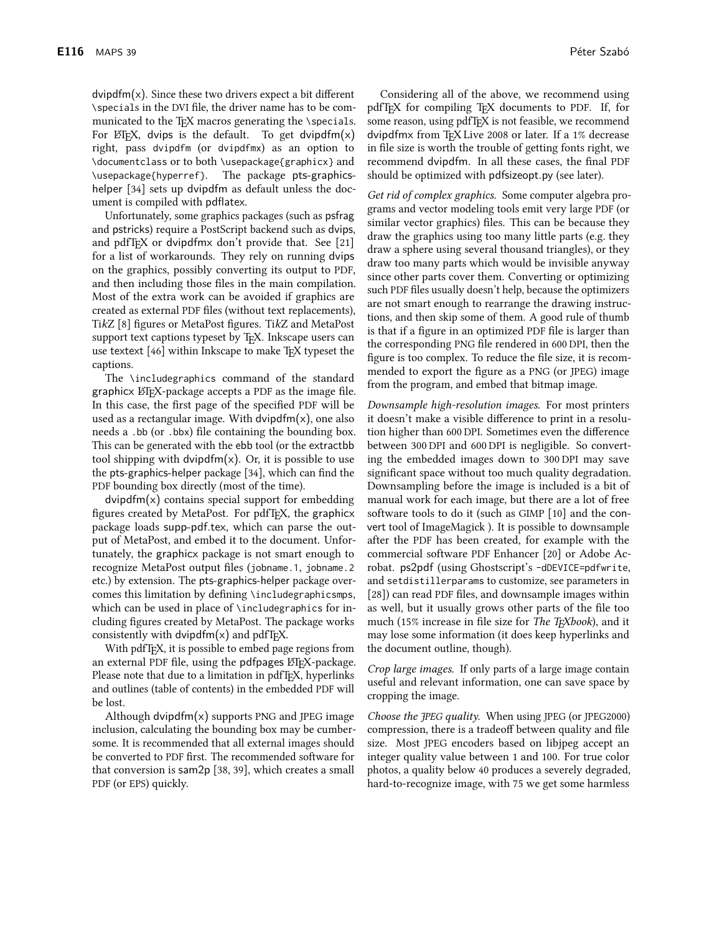$\frac{1}{2}$  dvipdfm(x). Since these two drivers expect a bit different \specials in the DVI file, the driver name has to be communicated to the TFX macros generating the \specials. For  $E/FX$ , dvips is the default. To get dvipdfm(x) right, pass dvipdfm (or dvipdfmx) as an option to \documentclass or to both \usepackage{graphicx} and \usepackage{hyperref}. The package pts-graphicshelper [34] sets up dvipdfm as default unless the document is compiled with pdflatex.

Unfortunately, some graphics packages (such as psfrag and pstricks) require a PostScript backend such as dvips, and pdfT<sub>F</sub>X or dvipdfmx don't provide that. See [21] for a list of workarounds. They rely on running dvips on the graphics, possibly converting its output to PDF, and then including those files in the main compilation. Most of the extra work can be avoided if graphics are created as external PDF files (without text replacements), TikZ [8] figures or MetaPost figures. TikZ and MetaPost support text captions typeset by TFX. Inkscape users can use textext [46] within Inkscape to make T<sub>F</sub>X typeset the captions.

The \includegraphics command of the standard graphicx LAT<sub>E</sub>X-package accepts a PDF as the image file. In this case, the first page of the specified PDF will be used as a rectangular image. With dvipdfm $(x)$ , one also needs a .bb (or .bbx) file containing the bounding box. This can be generated with the ebb tool (or the extractbb tool shipping with dvipdfm $(x)$ . Or, it is possible to use the pts-graphics-helper package [34], which can find the PDF bounding box directly (most of the time).

 $divipdfm(x)$  contains special support for embedding figures created by MetaPost. For pdfT<sub>F</sub>X, the graphicx package loads supp-pdf.tex, which can parse the output of MetaPost, and embed it to the document. Unfortunately, the graphicx package is not smart enough to recognize MetaPost output files (jobname.1, jobname.2 etc.) by extension. The pts-graphics-helper package overcomes this limitation by defining \includegraphicsmps, which can be used in place of \includegraphics for including figures created by MetaPost. The package works consistently with dvipdfm $(x)$  and pdfT<sub>F</sub>X.

With pdfTFX, it is possible to embed page regions from an external PDF file, using the pdfpages LATEX-package. Please note that due to a limitation in pdfT<sub>F</sub>X, hyperlinks and outlines (table of contents) in the embedded PDF will be lost.

Although dvipdfm $(x)$  supports PNG and JPEG image inclusion, calculating the bounding box may be cumbersome. It is recommended that all external images should be converted to PDF first. The recommended software for that conversion is sam2p [38, 39], which creates a small PDF (or EPS) quickly.

Considering all of the above, we recommend using pdfT<sub>F</sub>X for compiling T<sub>F</sub>X documents to PDF. If, for some reason, using pdfTFX is not feasible, we recommend dvipdfmx from TEX Live 2008 or later. If a 1% decrease in file size is worth the trouble of getting fonts right, we recommend dvipdfm. In all these cases, the final PDF should be optimized with pdfsizeopt.py (see later).

Get rid of complex graphics. Some computer algebra programs and vector modeling tools emit very large PDF (or similar vector graphics) files. This can be because they draw the graphics using too many little parts (e.g. they draw a sphere using several thousand triangles), or they draw too many parts which would be invisible anyway since other parts cover them. Converting or optimizing such PDF files usually doesn't help, because the optimizers are not smart enough to rearrange the drawing instructions, and then skip some of them. A good rule of thumb is that if a figure in an optimized PDF file is larger than the corresponding PNG file rendered in 600 DPI, then the figure is too complex. To reduce the file size, it is recommended to export the figure as a PNG (or JPEG) image from the program, and embed that bitmap image.

Downsample high-resolution images. For most printers it doesn't make a visible difference to print in a resolution higher than 600 DPI. Sometimes even the difference between 300 DPI and 600 DPI is negligible. So converting the embedded images down to 300 DPI may save significant space without too much quality degradation. Downsampling before the image is included is a bit of manual work for each image, but there are a lot of free software tools to do it (such as GIMP [10] and the convert tool of ImageMagick ). It is possible to downsample after the PDF has been created, for example with the commercial software PDF Enhancer [20] or Adobe Acrobat. ps2pdf (using Ghostscript's -dDEVICE=pdfwrite, and setdistillerparams to customize, see parameters in [28]) can read PDF files, and downsample images within as well, but it usually grows other parts of the file too much (15% increase in file size for *The T<sub>F</sub>Xbook*), and it may lose some information (it does keep hyperlinks and the document outline, though).

Crop large images. If only parts of a large image contain useful and relevant information, one can save space by cropping the image.

*Choose the FPEG quality.* When using JPEG (or JPEG2000) compression, there is a tradeoff between quality and file size. Most JPEG encoders based on libipeg accept an integer quality value between 1 and 100. For true color photos, a quality below 40 produces a severely degraded, hard-to-recognize image, with 75 we get some harmless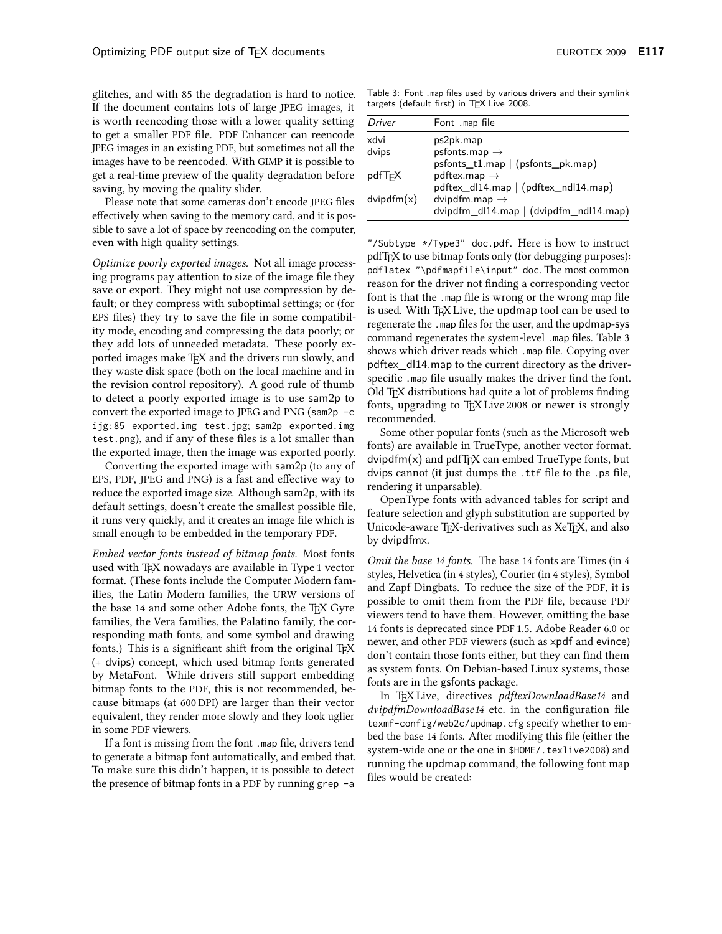glitches, and with 85 the degradation is hard to notice. If the document contains lots of large JPEG images, it is worth reencoding those with a lower quality setting to get a smaller PDF file. PDF Enhancer can reencode JPEG images in an existing PDF, but sometimes not all the images have to be reencoded. With GIMP it is possible to get a real-time preview of the quality degradation before saving, by moving the quality slider.

Please note that some cameras don't encode JPEG files effectively when saving to the memory card, and it is possible to save a lot of space by reencoding on the computer, even with high quality settings.

Optimize poorly exported images. Not all image processing programs pay attention to size of the image file they save or export. They might not use compression by default; or they compress with suboptimal settings; or (for EPS files) they try to save the file in some compatibility mode, encoding and compressing the data poorly; or they add lots of unneeded metadata. These poorly exported images make T<sub>E</sub>X and the drivers run slowly, and they waste disk space (both on the local machine and in the revision control repository). A good rule of thumb to detect a poorly exported image is to use sam2p to convert the exported image to JPEG and PNG (sam2p -c ijg:85 exported.img test.jpg; sam2p exported.img test.png), and if any of these files is a lot smaller than the exported image, then the image was exported poorly.

Converting the exported image with sam2p (to any of EPS, PDF, JPEG and PNG) is a fast and effective way to reduce the exported image size. Although sam2p, with its default settings, doesn't create the smallest possible file, it runs very quickly, and it creates an image file which is small enough to be embedded in the temporary PDF.

Embed vector fonts instead of bitmap fonts. Most fonts used with T<sub>F</sub>X nowadays are available in Type 1 vector format. (These fonts include the Computer Modern families, the Latin Modern families, the URW versions of the base 14 and some other Adobe fonts, the TEX Gyre families, the Vera families, the Palatino family, the corresponding math fonts, and some symbol and drawing fonts.) This is a significant shift from the original TFX (+ dvips) concept, which used bitmap fonts generated by MetaFont. While drivers still support embedding bitmap fonts to the PDF, this is not recommended, because bitmaps (at 600 DPI) are larger than their vector equivalent, they render more slowly and they look uglier in some PDF viewers.

If a font is missing from the font .map file, drivers tend to generate a bitmap font automatically, and embed that. To make sure this didn't happen, it is possible to detect the presence of bitmap fonts in a PDF by running grep -a

Table 3: Font .map files used by various drivers and their symlink targets (default first) in TEX Live 2008.

| Driver        | Font .map file                                                   |
|---------------|------------------------------------------------------------------|
| xdvi          | ps2pk.map                                                        |
| dvips         | psfonts.map $\rightarrow$                                        |
|               | $psfont \textsf{S}_t1.map \mid (psfont \textsf{S}_pk.map)$       |
| pdfTϝX        | pdftex.map $\rightarrow$                                         |
|               | pdftex_dl14.map   (pdftex_ndl14.map)                             |
| dvipd $fm(x)$ | dvipdfm.map $\rightarrow$                                        |
|               | $\frac{1}{2}$ dvipdfm_dl14.map $\frac{1}{2}$ (dvipdfm_ndl14.map) |

"/Subtype \*/Type3" doc.pdf. Here is how to instruct pdfT<sub>F</sub>X to use bitmap fonts only (for debugging purposes): pdflatex "\pdfmapfile\input" doc. The most common reason for the driver not finding a corresponding vector font is that the .map file is wrong or the wrong map file is used. With TFX Live, the updmap tool can be used to regenerate the .map files for the user, and the updmap-sys command regenerates the system-level .map files. Table 3 shows which driver reads which .map file. Copying over pdftex\_dl14.map to the current directory as the driverspecific. map file usually makes the driver find the font. Old T<sub>F</sub>X distributions had quite a lot of problems finding fonts, upgrading to TFX Live 2008 or newer is strongly recommended.

Some other popular fonts (such as the Microsoft web fonts) are available in TrueType, another vector format.  $divipdfm(x)$  and  $pdfTr[X]$  can embed TrueType fonts, but dvips cannot (it just dumps the .ttf file to the .ps file, rendering it unparsable).

OpenType fonts with advanced tables for script and feature selection and glyph substitution are supported by Unicode-aware T<sub>F</sub>X-derivatives such as XeT<sub>F</sub>X, and also by dvipdfmx.

Omit the base 14 fonts. The base 14 fonts are Times (in 4 styles, Helvetica (in 4 styles), Courier (in 4 styles), Symbol and Zapf Dingbats. To reduce the size of the PDF, it is possible to omit them from the PDF file, because PDF viewers tend to have them. However, omitting the base 14 fonts is deprecated since PDF 1.5. Adobe Reader 6.0 or newer, and other PDF viewers (such as xpdf and evince) don't contain those fonts either, but they can find them as system fonts. On Debian-based Linux systems, those fonts are in the gsfonts package.

In TFX Live, directives pdftexDownloadBase14 and dvipdfmDownloadBase14 etc. in the configuration file texmf-config/web2c/updmap.cfg specify whether to embed the base 14 fonts. After modifying this file (either the system-wide one or the one in \$HOME/. texlive2008) and running the updmap command, the following font map files would be created: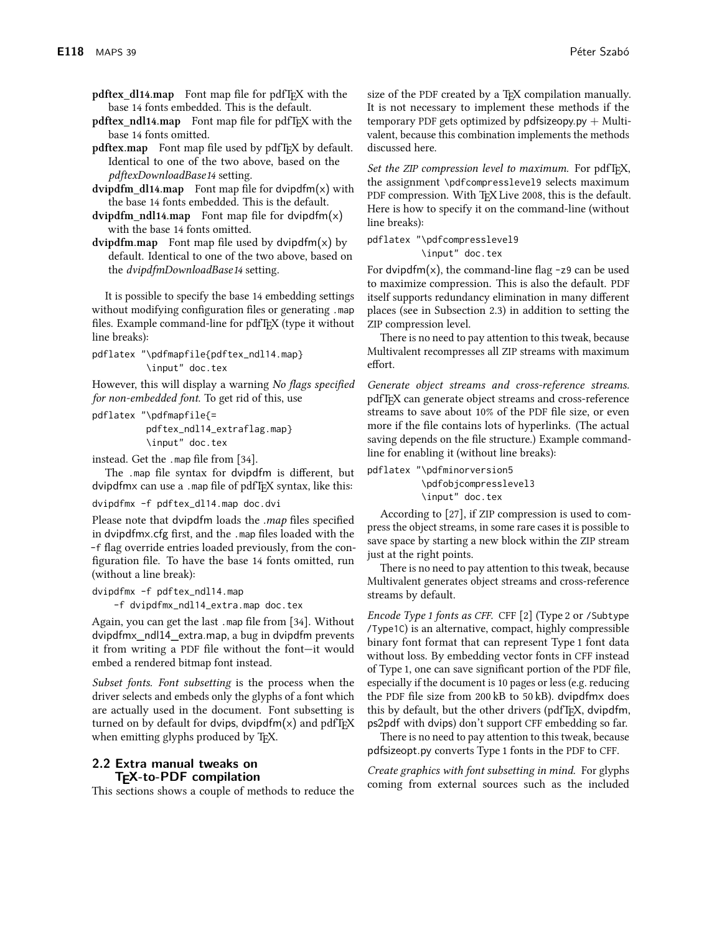**pdftex\_dl14.map** Font map file for pdfT<sub>F</sub>X with the base 14 fonts embedded. This is the default.

- pdftex\_ndl14.map Font map file for pdfT<sub>F</sub>X with the base 14 fonts omitted.
- **pdftex.map** Font map file used by pdfT<sub>F</sub>X by default. Identical to one of the two above, based on the pdftexDownloadBase14 setting.
- $\frac{1}{2}$  dvipdfm\_dl14.map Font map file for dvipdfm(x) with the base 14 fonts embedded. This is the default.
- dvipdfm\_ndl14.map Font map file for dvipdfm $(x)$ with the base 14 fonts omitted.
- $\frac{1}{2}$  dvipdfm.map Font map file used by dvipdfm(x) by default. Identical to one of the two above, based on the *dvipdfmDownloadBase14* setting.

It is possible to specify the base 14 embedding settings without modifying configuration files or generating .map files. Example command-line for pdfTFX (type it without line breaks):

```
pdflatex "\pdfmapfile{pdftex_ndl14.map}
\input" doc.tex
```
However, this will display a warning No flags specified for non-embedded font. To get rid of this, use

```
pdflatex "\pdfmapfile{=
pdftex_ndl14_extraflag.map}
\input" doc.tex
```
instead. Get the .map file from [34].

The .map file syntax for dvipdfm is different, but dvipdfmx can use a .map file of pdfTEX syntax, like this:

```
dvipdfmx -f pdftex_dl14.map doc.dvi
```
Please note that dvipdfm loads the .map files specified in dvipdfmx.cfg first, and the .map files loaded with the -f flag override entries loaded previously, from the configuration file. To have the base 14 fonts omitted, run (without a line break):

dvipdfmx -f pdftex\_ndl14.map -f dvipdfmx\_ndl14\_extra.map doc.tex

Again, you can get the last .map file from [34]. Without dvipdfmx\_ndl14\_extra.map, a bug in dvipdfm prevents it from writing a PDF file without the font-it would embed a rendered bitmap font instead.

Subset fonts. Font subsetting is the process when the driver selects and embeds only the glyphs of a font which are actually used in the document. Font subsetting is turned on by default for dvips, dvipdfm $(x)$  and pdfT<sub>F</sub>X when emitting glyphs produced by TFX.

## 2.2 Extra manual tweaks on **TEX-to-PDF** compilation

This sections shows a couple of methods to reduce the

size of the PDF created by a T<sub>E</sub>X compilation manually. It is not necessary to implement these methods if the temporary PDF gets optimized by  $pdfsizeopy.py + Multi$ valent, because this combination implements the methods discussed here.

Set the ZIP compression level to maximum. For pdfTFX, the assignment \pdfcompresslevel9 selects maximum PDF compression. With TFX Live 2008, this is the default. Here is how to specify it on the command-line (without line breaks):

```
pdflatex "\pdfcompresslevel9
```
\input" doc.tex

For dvipdfm(x), the command-line flag  $-z9$  can be used to maximize compression. This is also the default. PDF itself supports redundancy elimination in many different places (see in Subsection 2.3) in addition to setting the ZIP compression level.

There is no need to pay attention to this tweak, because Multivalent recompresses all ZIP streams with maximum effort.

Generate object streams and cross-reference streams. pdfT<sub>F</sub>X can generate object streams and cross-reference streams to save about 10% of the PDF file size, or even more if the file contains lots of hyperlinks. (The actual saving depends on the file structure.) Example commandline for enabling it (without line breaks):

pdflatex "\pdfminorversion5

\pdfobjcompresslevel3 \input" doc.tex

According to [27], if ZIP compression is used to compress the object streams, in some rare cases it is possible to save space by starting a new block within the ZIP stream just at the right points.

There is no need to pay attention to this tweak, because Multivalent generates object streams and cross-reference streams by default.

Encode Type 1 fonts as CFF. CFF [2] (Type 2 or /Subtype /Type1C) is an alternative, compact, highly compressible binary font format that can represent Type 1 font data without loss. By embedding vector fonts in CFF instead of Type 1, one can save significant portion of the PDF file, especially if the document is 10 pages or less (e.g. reducing the PDF file size from  $200 \text{ kB}$  to  $50 \text{ kB}$ ). dvipdfmx does this by default, but the other drivers (pdfTFX, dvipdfm, ps2pdf with dvips) don't support CFF embedding so far.

There is no need to pay attention to this tweak, because pdfsizeopt.py converts Type 1 fonts in the PDF to CFF.

Create graphics with font subsetting in mind. For glyphs coming from external sources such as the included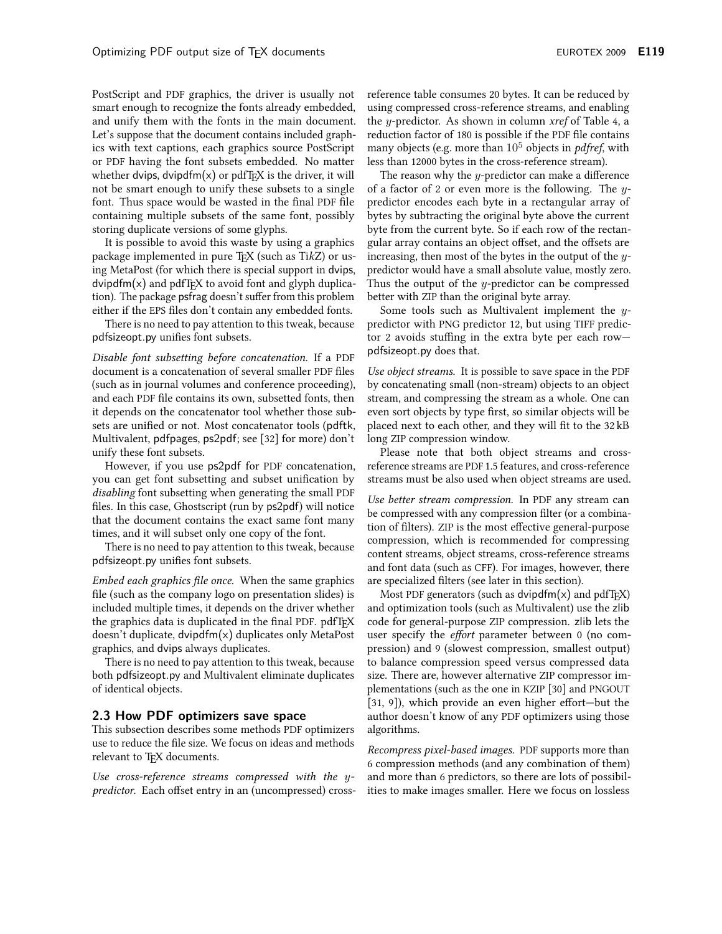PostScript and PDF graphics, the driver is usually not smart enough to recognize the fonts already embedded, and unify them with the fonts in the main document. Let's suppose that the document contains included graphics with text captions, each graphics source PostScript or PDF having the font subsets embedded. No matter whether dvips, dvipdfm $(x)$  or pdfT<sub>E</sub>X is the driver, it will not be smart enough to unify these subsets to a single font. Thus space would be wasted in the final PDF file containing multiple subsets of the same font, possibly storing duplicate versions of some glyphs.

It is possible to avoid this waste by using a graphics package implemented in pure T<sub>F</sub>X (such as TikZ) or using MetaPost (for which there is special support in dvips,  $\frac{1}{2}$  dvipdfm(x) and pdfT<sub>F</sub>X to avoid font and glyph duplication). The package psfrag doesn't suffer from this problem either if the EPS files don't contain any embedded fonts.

There is no need to pay attention to this tweak, because pdfsizeopt.py unifies font subsets.

Disable font subsetting before concatenation. If a PDF document is a concatenation of several smaller PDF files (such as in journal volumes and conference proceeding). and each PDF file contains its own, subsetted fonts, then it depends on the concatenator tool whether those subsets are unified or not. Most concatenator tools (pdftk, Multivalent, pdfpages, ps2pdf; see [32] for more) don't unify these font subsets.

However, if you use ps2pdf for PDF concatenation, you can get font subsetting and subset unification by *disabling* font subsetting when generating the small PDF files. In this case, Ghostscript (run by ps2pdf) will notice that the document contains the exact same font many times, and it will subset only one copy of the font.

There is no need to pay attention to this tweak, because pdfsizeopt.py unifies font subsets.

*Embed each graphics file once.* When the same graphics file (such as the company logo on presentation slides) is included multiple times, it depends on the driver whether the graphics data is duplicated in the final PDF. pdfTEX  $doesn't duplicate, dvipdfm(x) duplicates only MetaPost$ graphics, and dvips always duplicates.

There is no need to pay attention to this tweak, because both pdfsizeopt.py and Multivalent eliminate duplicates of identical objects.

## 2.3 How PDF optimizers save space

This subsection describes some methods PDF optimizers use to reduce the file size. We focus on ideas and methods relevant to TEX documents.

Use cross-reference streams compressed with the  $y$ *predictor.* Each offset entry in an (uncompressed) crossreference table consumes 20 bytes. It can be reduced by using compressed cross-reference streams, and enabling the *y*-predictor. As shown in column *xref* of Table 4, a reduction factor of 180 is possible if the PDF file contains many objects (e.g. more than  $10^5$  objects in *pdfref*, with less than 12000 bytes in the cross-reference stream).

The reason why the  $y$ -predictor can make a difference of a factor of 2 or even more is the following. The  $y$ predictor encodes each byte in a rectangular array of bytes by subtracting the original byte above the current byte from the current byte. So if each row of the rectangular array contains an object offset, and the offsets are increasing, then most of the bytes in the output of the  $y$ predictor would have a small absolute value, mostly zero. Thus the output of the  $y$ -predictor can be compressed better with ZIP than the original byte array.

Some tools such as Multivalent implement the  $y$ predictor with PNG predictor 12, but using TIFF predictor 2 avoids stuffing in the extra byte per each rowpdfsizeopt.py does that.

Use object streams. It is possible to save space in the PDF by concatenating small (non-stream) objects to an object stream, and compressing the stream as a whole. One can even sort objects by type first, so similar objects will be placed next to each other, and they will fit to the 32 kB long ZIP compression window.

Please note that both object streams and crossreference streams are PDF 1.5 features, and cross-reference streams must be also used when object streams are used.

Use better stream compression. In PDF any stream can be compressed with any compression filter (or a combination of filters). ZIP is the most effective general-purpose compression, which is recommended for compressing content streams, object streams, cross-reference streams and font data (such as CFF). For images, however, there are specialized filters (see later in this section).

Most PDF generators (such as dvipdfm(x) and pdfTFX) and optimization tools (such as Multivalent) use the zlib code for general-purpose ZIP compression. zlib lets the user specify the *effort* parameter between 0 (no compression) and 9 (slowest compression, smallest output) to balance compression speed versus compressed data size. There are, however alternative ZIP compressor implementations (such as the one in KZIP [30] and PNGOUT  $[31, 9]$ , which provide an even higher effort—but the author doesn't know of any PDF optimizers using those algorithms.

Recompress pixel-based images. PDF supports more than 6 compression methods (and any combination of them) and more than 6 predictors, so there are lots of possibilities to make images smaller. Here we focus on lossless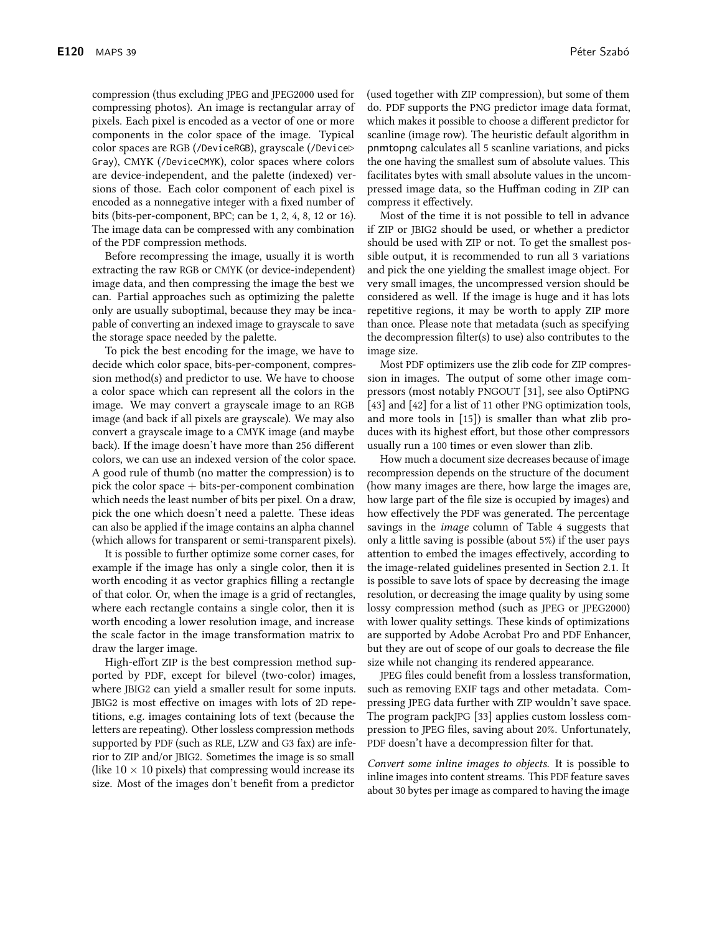compression (thus excluding JPEG and JPEG2000 used for compressing photos). An image is rectangular array of pixels. Each pixel is encoded as a vector of one or more components in the color space of the image. Typical color spaces are RGB (/DeviceRGB), grayscale (/Device⊳ Gray), CMYK (/DeviceCMYK), color spaces where colors are device-independent, and the palette (indexed) verfacilitates bytes with small absolute values in the uncomsions of those. Each color component of each pixel is pressed image data, so the Huffman coding in ZIP can encoded as a nonnegative integer with a fixed number of

of the PDF compression methods. Before recompressing the image, usually it is worth extracting the raw RGB or CMYK (or device-independent) image data, and then compressing the image the best we can. Partial approaches such as optimizing the palette only are usually suboptimal, because they may be incapable of converting an indexed image to grayscale to save the storage space needed by the palette.

bits (bits-per-component, BPC; can be 1, 2, 4, 8, 12 or 16).

The image data can be compressed with any combination

To pick the best encoding for the image, we have to decide which color space, bits-per-component, compression method(s) and predictor to use. We have to choose a color space which can represent all the colors in the image. We may convert a grayscale image to an RGB image (and back if all pixels are grayscale). We may also convert a grayscale image to a CMYK image (and maybe back). If the image doesn't have more than 256 different colors, we can use an indexed version of the color space. A good rule of thumb (no matter the compression) is to pick the color space  $+$  bits-per-component combination which needs the least number of bits per pixel. On a draw, pick the one which doesn't need a palette. These ideas can also be applied if the image contains an alpha channel (which allows for transparent or semi-transparent pixels).

It is possible to further optimize some corner cases, for example if the image has only a single color, then it is worth encoding it as vector graphics filling a rectangle of that color. Or, when the image is a grid of rectangles, where each rectangle contains a single color, then it is worth encoding a lower resolution image, and increase the scale factor in the image transformation matrix to draw the larger image.

High-effort ZIP is the best compression method supported by PDF, except for bilevel (two-color) images, where JBIG2 can yield a smaller result for some inputs. JBIG2 is most effective on images with lots of 2D repetitions, e.g. images containing lots of text (because the letters are repeating). Other lossless compression methods supported by PDF (such as RLE, LZW and G3 fax) are inferior to ZIP and/or JBIG2. Sometimes the image is so small (like  $10 \times 10$  pixels) that compressing would increase its size. Most of the images don't benefit from a predictor

(used together with ZIP compression), but some of them do. PDF supports the PNG predictor image data format, which makes it possible to choose a different predictor for scanline (image row). The heuristic default algorithm in pnmtopng calculates all 5 scanline variations, and picks the one having the smallest sum of absolute values. This

compress it effectively. Most of the time it is not possible to tell in advance if ZIP or JBIG2 should be used, or whether a predictor should be used with ZIP or not. To get the smallest possible output, it is recommended to run all 3 variations and pick the one yielding the smallest image object. For very small images, the uncompressed version should be considered as well. If the image is huge and it has lots repetitive regions, it may be worth to apply ZIP more than once. Please note that metadata (such as specifying the decompression filter(s) to use) also contributes to the image size.

Most PDF optimizers use the zlib code for ZIP compression in images. The output of some other image compressors (most notably PNGOUT [31], see also OptiPNG [43] and [42] for a list of 11 other PNG optimization tools, and more tools in  $[15]$ ) is smaller than what zlib produces with its highest effort, but those other compressors usually run a 100 times or even slower than zlib.

How much a document size decreases because of image recompression depends on the structure of the document (how many images are there, how large the images are, how large part of the file size is occupied by images) and how effectively the PDF was generated. The percentage savings in the *image* column of Table 4 suggests that only a little saving is possible (about 5%) if the user pays attention to embed the images effectively, according to the image-related guidelines presented in Section 2.1. It is possible to save lots of space by decreasing the image resolution, or decreasing the image quality by using some lossy compression method (such as JPEG or JPEG2000) with lower quality settings. These kinds of optimizations are supported by Adobe Acrobat Pro and PDF Enhancer, but they are out of scope of our goals to decrease the file size while not changing its rendered appearance.

JPEG files could benefit from a lossless transformation, such as removing EXIF tags and other metadata. Compressing JPEG data further with ZIP wouldn't save space. The program packJPG [33] applies custom lossless compression to JPEG files, saving about 20%. Unfortunately, PDF doesn't have a decompression filter for that.

Convert some inline images to objects. It is possible to inline images into content streams. This PDF feature saves about 30 bytes per image as compared to having the image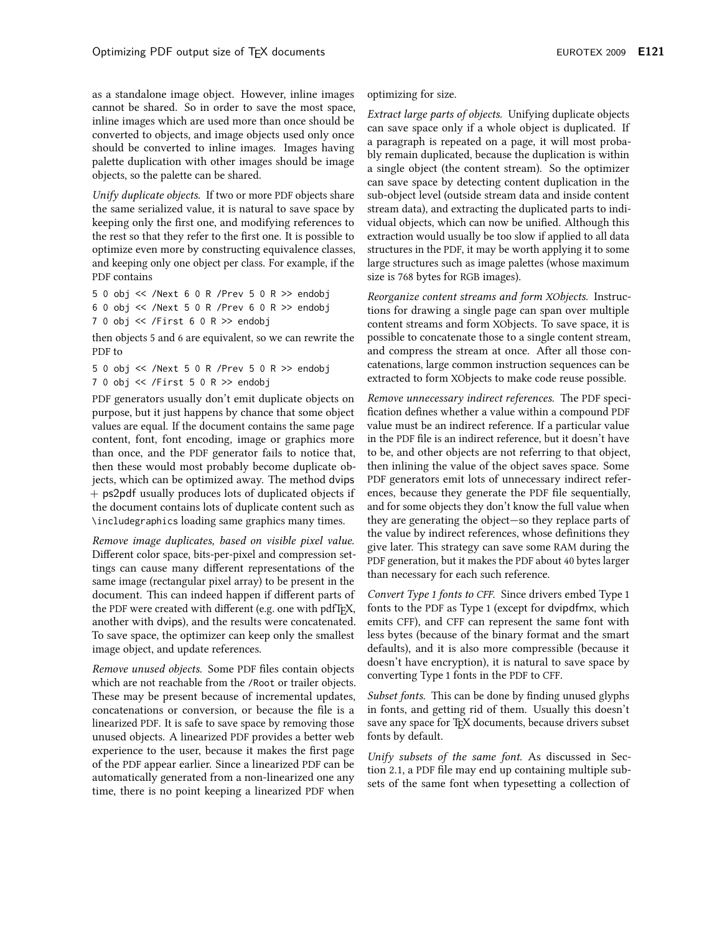as a standalone image object. However, inline images cannot be shared. So in order to save the most space, inline images which are used more than once should be converted to objects, and image objects used only once should be converted to inline images. Images having palette duplication with other images should be image objects, so the palette can be shared.

Unify duplicate objects. If two or more PDF objects share the same serialized value, it is natural to save space by keeping only the first one, and modifying references to the rest so that they refer to the first one. It is possible to optimize even more by constructing equivalence classes, and keeping only one object per class. For example, if the PDF contains

5 0 obj << /Next 6 0 R /Prev 5 0 R >> endobj 6 0 obj << /Next 5 0 R /Prev 6 0 R >> endobj  $70$  obj  $\ll$  /First 6 0 R >> endobj

then objects 5 and 6 are equivalent, so we can rewrite the PDF to

5 0 obj << /Next 5 0 R /Prev 5 0 R >> endobj 7 0 obj << /First 5 0 R >> endobj

PDF generators usually don't emit duplicate objects on purpose, but it just happens by chance that some object values are equal. If the document contains the same page content, font, font encoding, image or graphics more than once, and the PDF generator fails to notice that, then these would most probably become duplicate objects, which can be optimized away. The method dvips + ps2pdf usually produces lots of duplicated objects if the document contains lots of duplicate content such as \includegraphics loading same graphics many times.

Remove image duplicates, based on visible pixel value. Different color space, bits-per-pixel and compression settings can cause many different representations of the same image (rectangular pixel array) to be present in the document. This can indeed happen if different parts of the PDF were created with different (e.g. one with pdfTEX, another with dvips), and the results were concatenated. To save space, the optimizer can keep only the smallest image object, and update references.

Remove unused objects. Some PDF files contain objects which are not reachable from the /Root or trailer objects. These may be present because of incremental updates, concatenations or conversion, or because the file is a linearized PDF. It is safe to save space by removing those unused objects. A linearized PDF provides a better web experience to the user, because it makes the first page of the PDF appear earlier. Since a linearized PDF can be automatically generated from a non-linearized one any time, there is no point keeping a linearized PDF when

## optimizing for size.

Extract large parts of objects. Unifying duplicate objects can save space only if a whole object is duplicated. If a paragraph is repeated on a page, it will most probably remain duplicated, because the duplication is within a single object (the content stream). So the optimizer can save space by detecting content duplication in the sub-object level (outside stream data and inside content stream data), and extracting the duplicated parts to individual objects, which can now be unified. Although this extraction would usually be too slow if applied to all data structures in the PDF, it may be worth applying it to some large structures such as image palettes (whose maximum size is 768 bytes for RGB images).

Reorganize content streams and form XObjects. Instructions for drawing a single page can span over multiple content streams and form XObjects. To save space, it is possible to concatenate those to a single content stream, and compress the stream at once. After all those concatenations, large common instruction sequences can be extracted to form XObjects to make code reuse possible.

Remove unnecessary indirect references. The PDF specification defines whether a value within a compound PDF value must be an indirect reference. If a particular value in the PDF file is an indirect reference, but it doesn't have to be, and other objects are not referring to that object, then inlining the value of the object saves space. Some PDF generators emit lots of unnecessary indirect references, because they generate the PDF file sequentially, and for some objects they don't know the full value when they are generating the object—so they replace parts of the value by indirect references, whose definitions they give later. This strategy can save some RAM during the PDF generation, but it makes the PDF about 40 bytes larger than necessary for each such reference.

Convert Type 1 fonts to CFF. Since drivers embed Type 1 fonts to the PDF as Type 1 (except for dvipdfmx, which emits CFF), and CFF can represent the same font with less bytes (because of the binary format and the smart defaults), and it is also more compressible (because it doesn't have encryption), it is natural to save space by converting Type 1 fonts in the PDF to CFF.

Subset fonts. This can be done by finding unused glyphs in fonts, and getting rid of them. Usually this doesn't save any space for TEX documents, because drivers subset fonts by default.

Unify subsets of the same font. As discussed in Section 2.1, a PDF file may end up containing multiple subsets of the same font when typesetting a collection of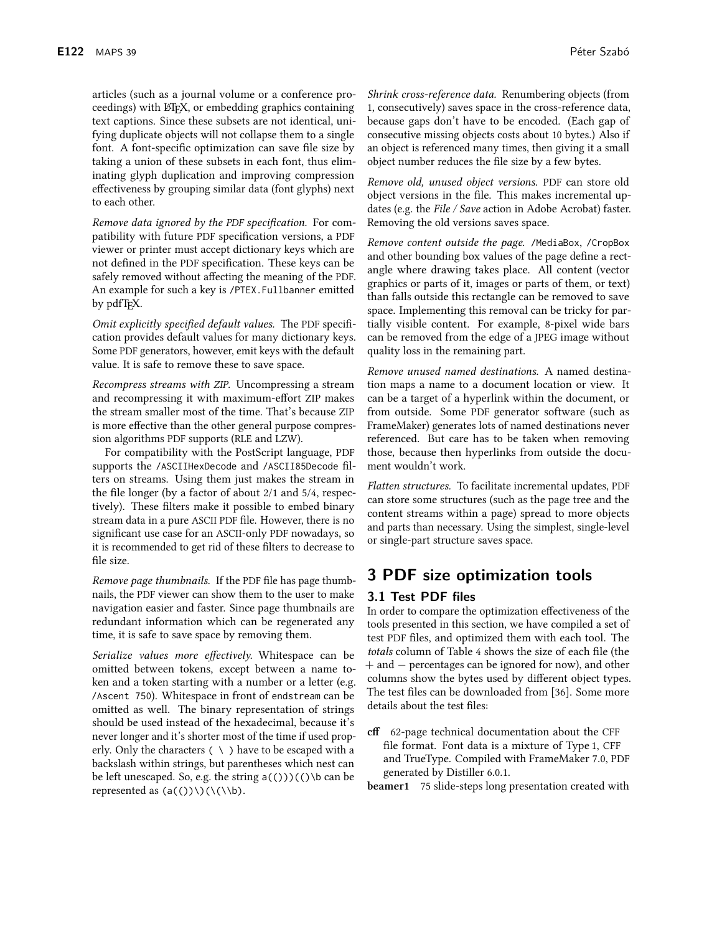articles (such as a journal volume or a conference proceedings) with ETEX, or embedding graphics containing text captions. Since these subsets are not identical, unifying duplicate objects will not collapse them to a single font. A font-specific optimization can save file size by taking a union of these subsets in each font, thus eliminating glyph duplication and improving compression effectiveness by grouping similar data (font glyphs) next to each other.

Remove data ignored by the PDF specification. For compatibility with future PDF specification versions, a PDF viewer or printer must accept dictionary keys which are not defined in the PDF specification. These keys can be safely removed without affecting the meaning of the PDF. An example for such a key is /PTEX. Fullbanner emitted by pdfT<sub>E</sub>X.

Omit explicitly specified default values. The PDF specification provides default values for many dictionary keys. Some PDF generators, however, emit keys with the default value. It is safe to remove these to save space.

Recompress streams with ZIP. Uncompressing a stream and recompressing it with maximum-effort ZIP makes the stream smaller most of the time. That's because ZIP is more effective than the other general purpose compression algorithms PDF supports (RLE and LZW).

For compatibility with the PostScript language, PDF supports the /ASCIIHexDecode and /ASCII85Decode filters on streams. Using them just makes the stream in the file longer (by a factor of about 2/1 and 5/4, respectively). These filters make it possible to embed binary stream data in a pure ASCII PDF file. However, there is no significant use case for an ASCII-only PDF nowadays, so it is recommended to get rid of these filters to decrease to file size.

*Remove page thumbnails.* If the PDF file has page thumbnails, the PDF viewer can show them to the user to make navigation easier and faster. Since page thumbnails are redundant information which can be regenerated any time, it is safe to save space by removing them.

Serialize values more effectively. Whitespace can be omitted between tokens, except between a name token and a token starting with a number or a letter (e.g. /Ascent 750). Whitespace in front of endstream can be omitted as well. The binary representation of strings should be used instead of the hexadecimal, because it's never longer and it's shorter most of the time if used properly. Only the characters  $( \ \ )$  have to be escaped with a backslash within strings, but parentheses which nest can be left unescaped. So, e.g. the string  $a(())(()$  to can be represented as  $(a(())\setminus)(\setminus\setminus b)$ .

*Shrink cross-reference data.* Renumbering objects (from 1, consecutively) saves space in the cross-reference data, because gaps don't have to be encoded. (Each gap of consecutive missing objects costs about 10 bytes.) Also if an object is referenced many times, then giving it a small object number reduces the file size by a few bytes.

Remove old, unused object versions. PDF can store old object versions in the file. This makes incremental updates (e.g. the File / Save action in Adobe Acrobat) faster. Removing the old versions saves space.

Remove content outside the page. /MediaBox, /CropBox and other bounding box values of the page define a rectangle where drawing takes place. All content (vector graphics or parts of it, images or parts of them, or text) than falls outside this rectangle can be removed to save space. Implementing this removal can be tricky for partially visible content. For example, 8-pixel wide bars can be removed from the edge of a JPEG image without quality loss in the remaining part.

Remove unused named destinations. A named destination maps a name to a document location or view. It can be a target of a hyperlink within the document, or from outside. Some PDF generator software (such as FrameMaker) generates lots of named destinations never referenced. But care has to be taken when removing those, because then hyperlinks from outside the document wouldn't work.

Flatten structures. To facilitate incremental updates, PDF can store some structures (such as the page tree and the content streams within a page) spread to more objects and parts than necessary. Using the simplest, single-level or single-part structure saves space.

# 3 PDF size optimization tools

## 3.1 Test PDF files

In order to compare the optimization effectiveness of the tools presented in this section, we have compiled a set of test PDF files, and optimized them with each tool. The totals column of Table 4 shows the size of each file (the  $+$  and  $-$  percentages can be ignored for now), and other columns show the bytes used by different object types. The test files can be downloaded from [36]. Some more details about the test files:

cff 62-page technical documentation about the CFF file format. Font data is a mixture of Type 1, CFF and TrueType. Compiled with FrameMaker 7.0, PDF generated by Distiller 6.0.1.

**beamer1** 75 slide-steps long presentation created with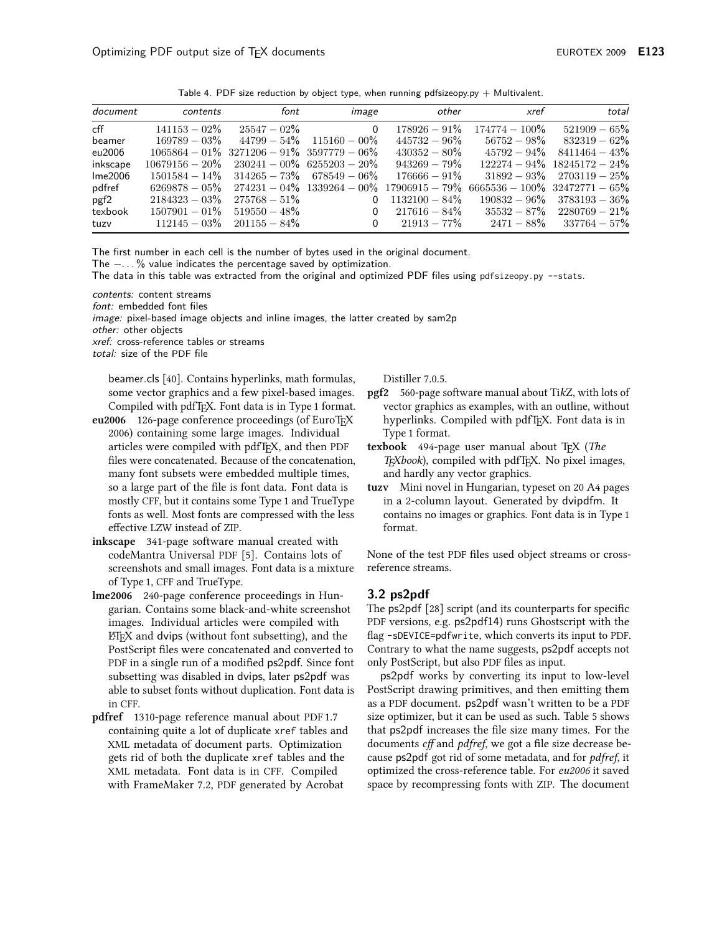Table 4. PDF size reduction by object type, when running pdfsizeopy.py  $+$  Multivalent.

| document | contents                                           | font            | image                                           | other                                              | xref                             | total                             |
|----------|----------------------------------------------------|-----------------|-------------------------------------------------|----------------------------------------------------|----------------------------------|-----------------------------------|
| cff      | $141153 - 02\%$                                    | $25547 - 02\%$  | $\Omega$                                        | $178926 - 91\%$                                    | $174774 - 100\%$                 | $521909 - 65%$                    |
| beamer   | $169789 - 03\%$                                    |                 | $44799 - 54\% - 115160 - 00\%$                  | $445732 - 96\%$                                    | $56752 - 98\%$                   | $832319 - 62\%$                   |
| eu2006   |                                                    |                 | $1065864 - 01\%$ 3271206 - 91% 3597779 - 06%    | $430352 - 80\%$                                    | $45792 - 94\%$                   | $8411464 - 43%$                   |
| inkscape | $10679156 - 20\%$ $230241 - 00\%$ $6255203 - 20\%$ |                 |                                                 | $943269 - 79\%$                                    |                                  | $122274 - 94\%$ $18245172 - 24\%$ |
| Ime2006  |                                                    |                 | $1501584 - 14\%$ $314265 - 73\%$ 678549 $-06\%$ | $176666 - 91\%$                                    |                                  | $31892 - 93\%$ $2703119 - 25\%$   |
| pdfref   | $6269878 - 05\%$                                   |                 |                                                 | $274231 - 04\%$ $1339264 - 00\%$ $17906915 - 79\%$ | $6665536 - 100\%$ 32472771 - 65% |                                   |
| pgf2     | $2184323 - 03\%$                                   | $275768 - 51\%$ | $\Omega$                                        | $1132100 - 84\%$                                   |                                  | $190832 - 96\%$ $3783193 - 36\%$  |
| texbook  | $1507901 - 01\%$                                   | $519550 - 48\%$ | 0                                               | $217616 - 84\%$                                    |                                  | $35532 - 87\%$ $2280769 - 21\%$   |
| tuzv     | $112145 - 03\%$                                    | $201155 - 84\%$ | $\Omega$                                        | $21913 - 77\%$                                     |                                  | $2471 - 88\%$ $337764 - 57\%$     |

The first number in each cell is the number of bytes used in the original document. The  $- \dots$ % value indicates the percentage saved by optimization.

The data in this table was extracted from the original and optimized PDF files using pdfsizeopy.py --stats.

contents: content streams

font: embedded font files

image: pixel-based image objects and inline images, the latter created by sam2p

other: other objects

xref: cross-reference tables or streams

total: size of the PDF file

beamer.cls [40]. Contains hyperlinks, math formulas, some vector graphics and a few pixel-based images. Compiled with pdfTFX. Font data is in Type 1 format.

- eu2006 126-page conference proceedings (of EuroTFX 2006) containing some large images. Individual articles were compiled with pdfTEX, and then PDF files were concatenated. Because of the concatenation, many font subsets were embedded multiple times, so a large part of the file is font data. Font data is mostly CFF, but it contains some Type 1 and TrueType fonts as well. Most fonts are compressed with the less effective LZW instead of ZIP.
- inkscape 341-page software manual created with codeMantra Universal PDF [5]. Contains lots of screenshots and small images. Font data is a mixture of Type 1, CFF and TrueType.
- lme2006 240-page conference proceedings in Hungarian. Contains some black-and-white screenshot images. Individual articles were compiled with ETEX and dvips (without font subsetting), and the PostScript files were concatenated and converted to PDF in a single run of a modified ps2pdf. Since font subsetting was disabled in dvips, later ps2pdf was able to subset fonts without duplication. Font data is in CFF.
- pdfref 1310-page reference manual about PDF 1.7 containing quite a lot of duplicate xref tables and XML metadata of document parts. Optimization gets rid of both the duplicate xref tables and the XML metadata. Font data is in CFF. Compiled with FrameMaker 7.2, PDF generated by Acrobat

Distiller 7.0.5.

- pgf2 560-page software manual about TikZ, with lots of vector graphics as examples, with an outline, without hyperlinks. Compiled with pdfTFX. Font data is in Type 1 format.
- texbook 494-page user manual about TFX (The TEXbook), compiled with pdfTEX. No pixel images, and hardly any vector graphics.
- tuzv Mini novel in Hungarian, typeset on 20 A4 pages in a 2-column layout. Generated by dvipdfm. It contains no images or graphics. Font data is in Type 1 format.

None of the test PDF files used object streams or crossreference streams.

## 3.2 ps2pdf

The ps2pdf [28] script (and its counterparts for specific PDF versions, e.g. ps2pdf14) runs Ghostscript with the flag -sDEVICE=pdfwrite, which converts its input to PDF. Contrary to what the name suggests, ps2pdf accepts not only PostScript, but also PDF files as input.

ps2pdf works by converting its input to low-level PostScript drawing primitives, and then emitting them as a PDF document. ps2pdf wasn't written to be a PDF size optimizer, but it can be used as such. Table 5 shows that ps2pdf increases the file size many times. For the documents *cff* and *pdfref*, we got a file size decrease because ps2pdf got rid of some metadata, and for pdfref, it optimized the cross-reference table. For eu2006 it saved space by recompressing fonts with ZIP. The document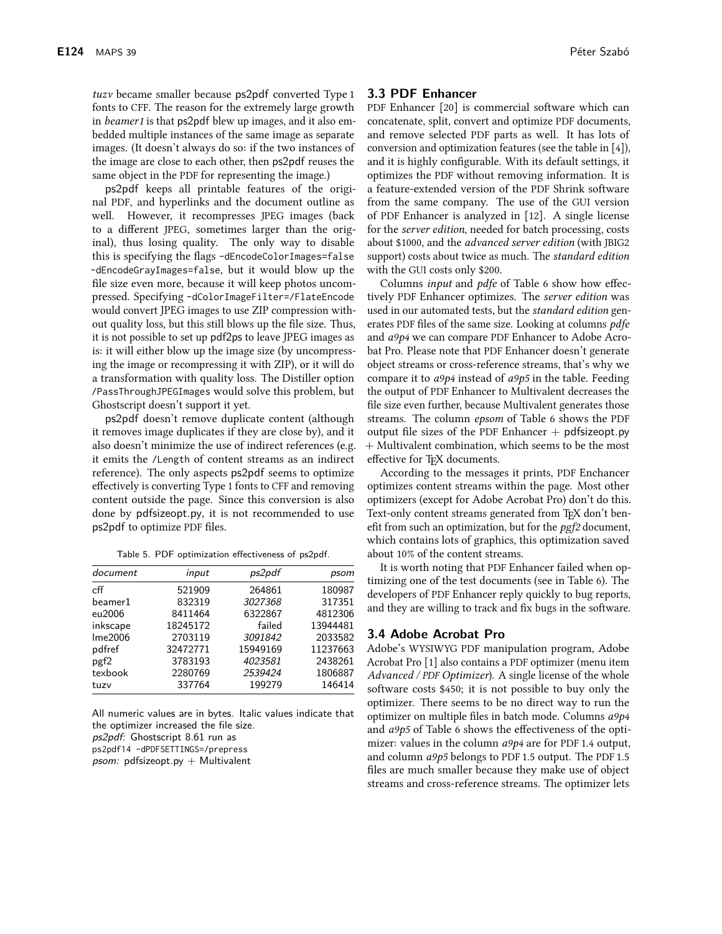*tuzv* became smaller because ps2pdf converted Type 1 fonts to CFF. The reason for the extremely large growth in *beamer1* is that ps2pdf blew up images, and it also embedded multiple instances of the same image as separate images. (It doesn't always do so: if the two instances of the image are close to each other, then ps2pdf reuses the same object in the PDF for representing the image.)

ps2pdf keeps all printable features of the original PDF, and hyperlinks and the document outline as well. However, it recompresses JPEG images (back to a different JPEG, sometimes larger than the original), thus losing quality. The only way to disable this is specifying the flags -dEncodeColorImages=false -dEncodeGrayImages=false, but it would blow up the file size even more, because it will keep photos uncompressed. Specifying-dColorImageFilter=/FlateEncode would convert JPEG images to use ZIP compression without quality loss, but this still blows up the file size. Thus, it is not possible to set up pdf2ps to leave JPEG images as is: it will either blow up the image size (by uncompressing the image or recompressing it with ZIP), or it will do a transformation with quality loss. The Distiller option /PassThroughJPEGImages would solve this problem, but Ghostscript doesn't support it yet.

ps2pdf doesn't remove duplicate content (although it removes image duplicates if they are close by), and it also doesn't minimize the use of indirect references (e.g. it emits the /Length of content streams as an indirect reference). The only aspects ps2pdf seems to optimize effectively is converting Type 1 fonts to CFF and removing content outside the page. Since this conversion is also done by pdfsizeopt.py, it is not recommended to use ps2pdf to optimize PDF files.

| document | input    | ps2pdf   | psom     |
|----------|----------|----------|----------|
| cff      | 521909   | 264861   | 180987   |
| beamer1  | 832319   | 3027368  | 317351   |
| eu2006   | 8411464  | 6322867  | 4812306  |
| inkscape | 18245172 | failed   | 13944481 |
| Ime2006  | 2703119  | 3091842  | 2033582  |
| pdfref   | 32472771 | 15949169 | 11237663 |
| pgf2     | 3783193  | 4023581  | 2438261  |
| texbook  | 2280769  | 2539424  | 1806887  |
| tuzv     | 337764   | 199279   | 146414   |

Table 5. PDF optimization effectiveness of ps2pdf.

All numeric values are in bytes. Italic values indicate that the optimizer increased the file size.

ps2pdf: Ghostscript 8.61 run as

ps2pdf14 -dPDFSETTINGS=/prepress

psom: pdfsizeopt.py  $+$  Multivalent

## 3.3 PDF Enhancer

PDF Enhancer [20] is commercial software which can concatenate, split, convert and optimize PDF documents, and remove selected PDF parts as well. It has lots of conversion and optimization features (see the table in [4]), and it is highly configurable. With its default settings, it optimizes the PDF without removing information. It is a feature-extended version of the PDF Shrink software from the same company. The use of the GUI version of PDF Enhancer is analyzed in [12]. A single license for the server edition, needed for batch processing, costs about \$1000, and the *advanced server edition* (with JBIG2 support) costs about twice as much. The *standard edition* with the GUI costs only \$200.

Columns input and pdfe of Table 6 show how effectively PDF Enhancer optimizes. The server edition was used in our automated tests, but the standard edition generates PDF files of the same size. Looking at columns *pdfe* and a9p4 we can compare PDF Enhancer to Adobe Acrobat Pro. Please note that PDF Enhancer doesn't generate object streams or cross-reference streams, that's why we compare it to  $a9p4$  instead of  $a9p5$  in the table. Feeding the output of PDF Enhancer to Multivalent decreases the file size even further, because Multivalent generates those streams. The column epsom of Table 6 shows the PDF output file sizes of the PDF Enhancer  $+$  pdfsizeopt.py + Multivalent combination, which seems to be the most effective for TFX documents.

According to the messages it prints, PDF Enchancer optimizes content streams within the page. Most other optimizers (except for Adobe Acrobat Pro) don't do this. Text-only content streams generated from T<sub>F</sub>X don't benefit from such an optimization, but for the  $pgf2$  document, which contains lots of graphics, this optimization saved about 10% of the content streams.

It is worth noting that PDF Enhancer failed when optimizing one of the test documents (see in Table 6). The developers of PDF Enhancer reply quickly to bug reports, and they are willing to track and fix bugs in the software.

## 3.4 Adobe Acrobat Pro

Adobe's WYSIWYG PDF manipulation program, Adobe Acrobat Pro [1] also contains a PDF optimizer (menu item Advanced / PDF Optimizer). A single license of the whole software costs \$450; it is not possible to buy only the optimizer. There seems to be no direct way to run the optimizer on multiple files in batch mode. Columns a9p4 and *a9p5* of Table 6 shows the effectiveness of the optimizer: values in the column *a9p4* are for PDF 1.4 output, and column a9p5 belongs to PDF 1.5 output. The PDF 1.5 files are much smaller because they make use of object streams and cross-reference streams. The optimizer lets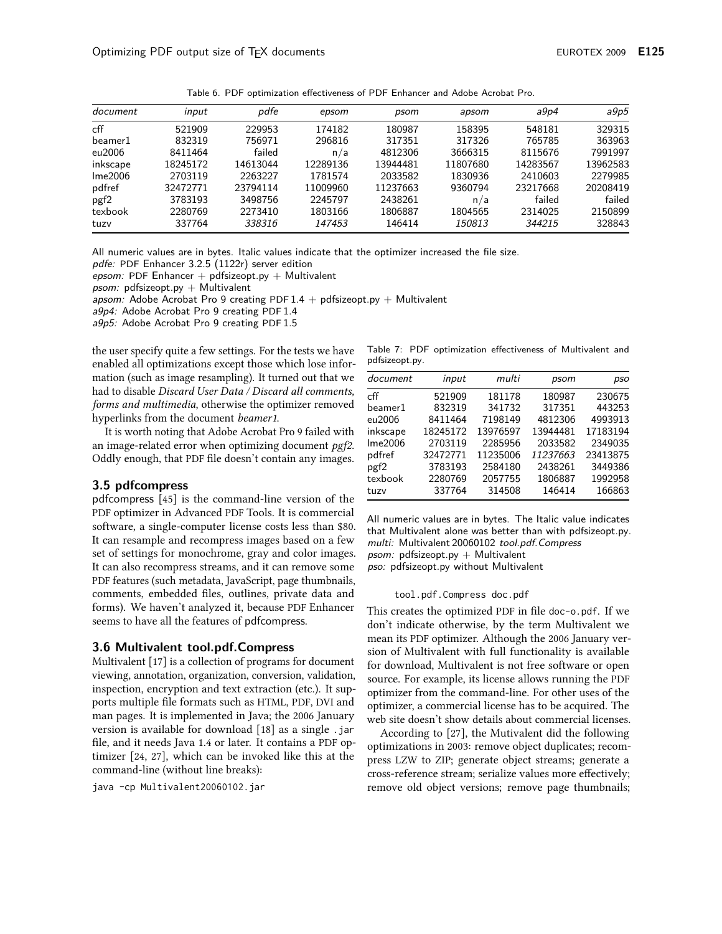| document         | input    | pdfe     | epsom    | psom     | apsom    | a9p4     | a9p5     |
|------------------|----------|----------|----------|----------|----------|----------|----------|
| cff              | 521909   | 229953   | 174182   | 180987   | 158395   | 548181   | 329315   |
| beamer1          | 832319   | 756971   | 296816   | 317351   | 317326   | 765785   | 363963   |
| eu2006           | 8411464  | failed   | n/a      | 4812306  | 3666315  | 8115676  | 7991997  |
| inkscape         | 18245172 | 14613044 | 12289136 | 13944481 | 11807680 | 14283567 | 13962583 |
| Ime2006          | 2703119  | 2263227  | 1781574  | 2033582  | 1830936  | 2410603  | 2279985  |
| pdfref           | 32472771 | 23794114 | 11009960 | 11237663 | 9360794  | 23217668 | 20208419 |
| pgf <sub>2</sub> | 3783193  | 3498756  | 2245797  | 2438261  | n/a      | failed   | failed   |
| texbook          | 2280769  | 2273410  | 1803166  | 1806887  | 1804565  | 2314025  | 2150899  |
| tuzv             | 337764   | 338316   | 147453   | 146414   | 150813   | 344215   | 328843   |

Table 6. PDF optimization effectiveness of PDF Enhancer and Adobe Acrobat Pro.

All numeric values are in bytes. Italic values indicate that the optimizer increased the file size.

pdfe: PDF Enhancer 3.2.5 (1122r) server edition

epsom: PDF Enhancer + pdfsizeopt.py + Multivalent

psom: pdfsizeopt.py  $+$  Multivalent

apsom: Adobe Acrobat Pro 9 creating PDF  $1.4 +$  pdfsizeopt.py + Multivalent

a9p4: Adobe Acrobat Pro 9 creating PDF 1.4

a9p5: Adobe Acrobat Pro 9 creating PDF 1.5

the user specify quite a few settings. For the tests we have enabled all optimizations except those which lose information (such as image resampling). It turned out that we had to disable Discard User Data / Discard all comments, forms and multimedia, otherwise the optimizer removed hyperlinks from the document *beamer1*.

It is worth noting that Adobe Acrobat Pro 9 failed with an image-related error when optimizing document pgf2. Oddly enough, that PDF file doesn't contain any images.

## 3.5 pdfcompress

pdfcompress [45] is the command-line version of the PDF optimizer in Advanced PDF Tools. It is commercial software, a single-computer license costs less than \$80. It can resample and recompress images based on a few set of settings for monochrome, gray and color images. It can also recompress streams, and it can remove some PDF features (such metadata, JavaScript, page thumbnails, comments, embedded files, outlines, private data and forms). We haven't analyzed it, because PDF Enhancer seems to have all the features of pdfcompress.

## 3.6 Multivalent tool.pdf.Compress

Multivalent [17] is a collection of programs for document viewing, annotation, organization, conversion, validation, inspection, encryption and text extraction (etc.). It supports multiple file formats such as HTML, PDF, DVI and man pages. It is implemented in Java; the 2006 January version is available for download [18] as a single .jar file, and it needs Java 1.4 or later. It contains a PDF optimizer [24, 27], which can be invoked like this at the command-line (without line breaks):

java -cp Multivalent20060102.jar

Table 7: PDF optimization effectiveness of Multivalent and pdfsizeopt.py.

| document | input    | multi    | psom     | pso      |
|----------|----------|----------|----------|----------|
| cff      | 521909   | 181178   | 180987   | 230675   |
| beamer1  | 832319   | 341732   | 317351   | 443253   |
| eu2006   | 8411464  | 7198149  | 4812306  | 4993913  |
| inkscape | 18245172 | 13976597 | 13944481 | 17183194 |
| lme2006  | 2703119  | 2285956  | 2033582  | 2349035  |
| pdfref   | 32472771 | 11235006 | 11237663 | 23413875 |
| pgf2     | 3783193  | 2584180  | 2438261  | 3449386  |
| texbook  | 2280769  | 2057755  | 1806887  | 1992958  |
| tuzv     | 337764   | 314508   | 146414   | 166863   |
|          |          |          |          |          |

All numeric values are in bytes. The Italic value indicates that Multivalent alone was better than with pdfsizeopt.py. multi: Multivalent 20060102 tool.pdf.Compress psom: pdfsizeopt.py  $+$  Multivalent pso: pdfsizeopt.py without Multivalent

tool.pdf.Compress doc.pdf

This creates the optimized PDF in file doc-o.pdf. If we don't indicate otherwise, by the term Multivalent we mean its PDF optimizer. Although the 2006 January version of Multivalent with full functionality is available for download, Multivalent is not free software or open source. For example, its license allows running the PDF optimizer from the command-line. For other uses of the optimizer, a commercial license has to be acquired. The web site doesn't show details about commercial licenses.

According to [27], the Mutivalent did the following optimizations in 2003: remove object duplicates; recompress LZW to ZIP; generate object streams; generate a cross-reference stream; serialize values more effectively; remove old object versions; remove page thumbnails;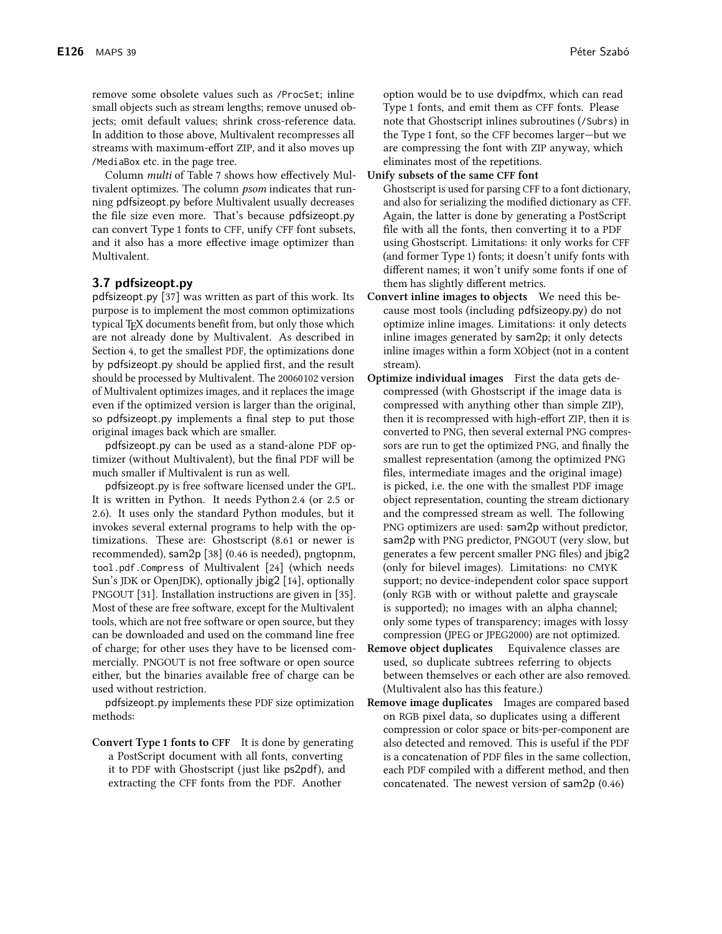remove some obsolete values such as /ProcSet; inline small objects such as stream lengths; remove unused objects; omit default values; shrink cross-reference data. In addition to those above, Multivalent recompresses all streams with maximum-effort ZIP, and it also moves up /MediaBox etc. in the page tree.

Column multi of Table 7 shows how effectively Multivalent optimizes. The column *psom* indicates that running pdfsizeopt.py before Multivalent usually decreases the file size even more. That's because pdfsizeopt.py can convert Type 1 fonts to CFF, unify CFF font subsets, and it also has a more effective image optimizer than Multivalent.

## 3.7 pdfsizeopt.py

pdfsizeopt.py [37] was written as part of this work. Its purpose is to implement the most common optimizations typical T<sub>F</sub>X documents benefit from, but only those which are not already done by Multivalent. As described in Section 4, to get the smallest PDF, the optimizations done by pdfsizeopt.py should be applied first, and the result should be processed by Multivalent. The 20060102 version of Multivalent optimizes images, and it replaces the image even if the optimized version is larger than the original, so pdfsizeopt.py implements a final step to put those original images back which are smaller.

pdfsizeopt.py can be used as a stand-alone PDF optimizer (without Multivalent), but the final PDF will be much smaller if Multivalent is run as well.

pdfsizeopt.py is free software licensed under the GPL. It is written in Python. It needs Python 2.4 (or 2.5 or 2.6). It uses only the standard Python modules, but it invokes several external programs to help with the optimizations. These are: Ghostscript (8.61 or newer is recommended), sam2p [38] (0.46 is needed), pngtopnm, tool.pdf.Compress of Multivalent [24] (which needs Sun's JDK or OpenJDK), optionally jbig2 [14], optionally PNGOUT [31]. Installation instructions are given in [35]. Most of these are free software, except for the Multivalent tools, which are not free software or open source, but they can be downloaded and used on the command line free of charge; for other uses they have to be licensed commercially. PNGOUT is not free software or open source either, but the binaries available free of charge can be used without restriction.

pdfsizeopt.py implements these PDF size optimization methods:

Convert Type 1 fonts to CFF It is done by generating a PostScript document with all fonts, converting it to PDF with Ghostscript (just like ps2pdf), and extracting the CFF fonts from the PDF. Another

option would be to use dvipdfmx, which can read Type 1 fonts, and emit them as CFF fonts. Please note that Ghostscript inlines subroutines (/Subrs) in the Type 1 font, so the CFF becomes larger-but we are compressing the font with ZIP anyway, which eliminates most of the repetitions.

Unify subsets of the same CFF font

Ghostscript is used for parsing CFF to a font dictionary, and also for serializing the modified dictionary as CFF. Again, the latter is done by generating a PostScript file with all the fonts, then converting it to a PDF using Ghostscript. Limitations: it only works for CFF (and former Type 1) fonts; it doesn't unify fonts with different names; it won't unify some fonts if one of them has slightly different metrics.

Convert inline images to objects We need this because most tools (including pdfsizeopy.py) do not optimize inline images. Limitations: it only detects inline images generated by sam2p; it only detects inline images within a form XObject (not in a content stream).

- Optimize individual images First the data gets decompressed (with Ghostscript if the image data is compressed with anything other than simple ZIP), then it is recompressed with high-effort ZIP, then it is converted to PNG, then several external PNG compressors are run to get the optimized PNG, and finally the smallest representation (among the optimized PNG files, intermediate images and the original image) is picked, i.e. the one with the smallest PDF image object representation, counting the stream dictionary and the compressed stream as well. The following PNG optimizers are used: sam2p without predictor, sam2p with PNG predictor, PNGOUT (very slow, but generates a few percent smaller PNG files) and  $ibig2$ (only for bilevel images). Limitations: no CMYK support; no device-independent color space support (only RGB with or without palette and grayscale is supported); no images with an alpha channel; only some types of transparency; images with lossy compression (JPEG or JPEG2000) are not optimized.
- Remove object duplicates Equivalence classes are used, so duplicate subtrees referring to objects between themselves or each other are also removed. (Multivalent also has this feature.)
- **Remove image duplicates** Images are compared based on RGB pixel data, so duplicates using a different compression or color space or bits-per-component are also detected and removed. This is useful if the PDF is a concatenation of PDF files in the same collection, each PDF compiled with a different method, and then concatenated. The newest version of sam2p (0.46)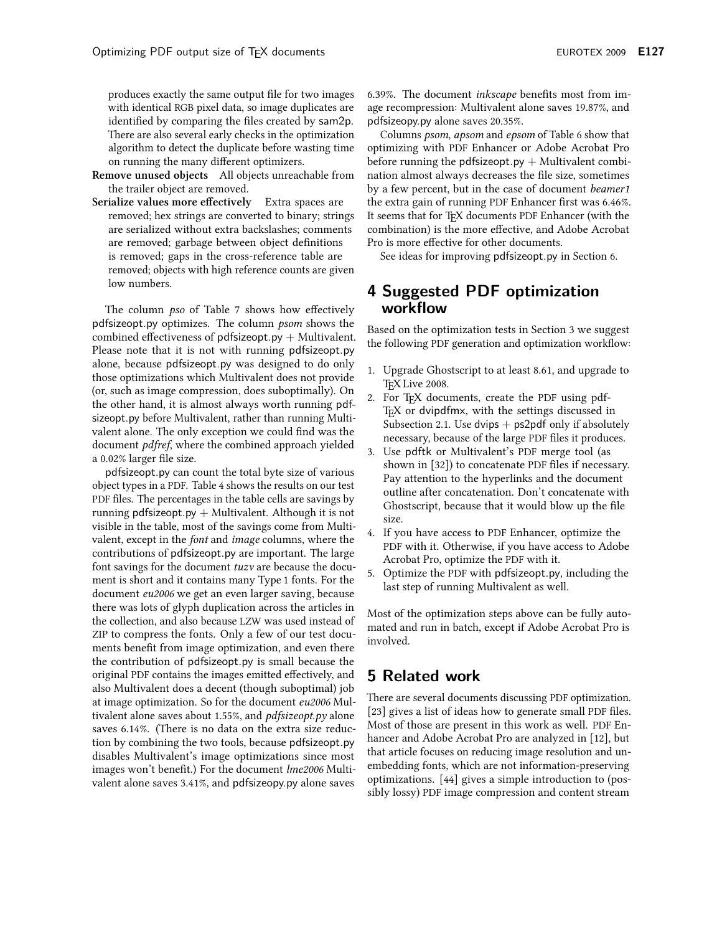produces exactly the same output file for two images with identical RGB pixel data, so image duplicates are identified by comparing the files created by sam2p. There are also several early checks in the optimization algorithm to detect the duplicate before wasting time on running the many different optimizers.

- Remove unused objects All objects unreachable from the trailer object are removed.
- Serialize values more effectively Extra spaces are removed; hex strings are converted to binary; strings are serialized without extra backslashes; comments are removed; garbage between object definitions is removed; gaps in the cross-reference table are removed; objects with high reference counts are given low numbers.

The column *pso* of Table 7 shows how effectively pdfsizeopt.py optimizes. The column psom shows the combined effectiveness of  $pdfsizeopt.py + Multivalent$ . Please note that it is not with running pdfsizeopt.py alone, because pdfsizeopt.py was designed to do only those optimizations which Multivalent does not provide (or, such as image compression, does suboptimally). On the other hand, it is almost always worth running pdfsizeopt.py before Multivalent, rather than running Multivalent alone. The only exception we could find was the document *pdfref*, where the combined approach yielded a 0.02% larger file size.

pdfsizeopt.py can count the total byte size of various object types in a PDF. Table 4 shows the results on our test PDF files. The percentages in the table cells are savings by running pdfsizeopt.py  $+$  Multivalent. Although it is not visible in the table, most of the savings come from Multivalent, except in the *font* and *image* columns, where the contributions of pdfsizeopt py are important. The large font savings for the document *tuzv* are because the document is short and it contains many Type 1 fonts. For the document *eu*2006 we get an even larger saving, because there was lots of glyph duplication across the articles in the collection, and also because LZW was used instead of ZIP to compress the fonts. Only a few of our test documents benefit from image optimization, and even there the contribution of pdfsizeopt.py is small because the original PDF contains the images emitted effectively, and also Multivalent does a decent (though suboptimal) job at image optimization. So for the document eu2006 Multivalent alone saves about 1.55%, and *pdfsizeopt.py* alone saves 6.14%. (There is no data on the extra size reduction by combining the two tools, because pdfsizeopt.py disables Multivalent's image optimizations since most images won't benefit.) For the document *lme2006* Multivalent alone saves 3.41%, and pdfsizeopy.py alone saves 6.39%. The document *inkscape* benefits most from image recompression: Multivalent alone saves 19.87%, and pdfsizeopy.py alone saves 20.35%.

Columns psom, apsom and epsom of Table 6 show that optimizing with PDF Enhancer or Adobe Acrobat Pro before running the pdfsizeopt.py  $+$  Multivalent combination almost always decreases the file size, sometimes by a few percent, but in the case of document *beamer1* the extra gain of running PDF Enhancer first was 6.46%. It seems that for TFX documents PDF Enhancer (with the combination) is the more effective, and Adobe Acrobat Pro is more effective for other documents.

See ideas for improving pdfsizeopt.py in Section 6.

## 4 Suggested PDF optimization workflow

Based on the optimization tests in Section 3 we suggest the following PDF generation and optimization workflow:

- 1. Upgrade Ghostscript to at least 8.61, and upgrade to TFX Live 2008.
- 2. For TFX documents, create the PDF using pdf-TEX or dvipdfmx, with the settings discussed in Subsection 2.1. Use dvips  $+$  ps2pdf only if absolutely necessary, because of the large PDF files it produces.
- 3. Use pdftk or Multivalent's PDF merge tool (as shown in [32]) to concatenate PDF files if necessary. Pay attention to the hyperlinks and the document outline after concatenation. Don't concatenate with Ghostscript, because that it would blow up the file size.
- 4. If you have access to PDF Enhancer, optimize the PDF with it. Otherwise, if you have access to Adobe Acrobat Pro, optimize the PDF with it.
- 5. Optimize the PDF with pdfsizeopt.py, including the last step of running Multivalent as well.

Most of the optimization steps above can be fully automated and run in batch, except if Adobe Acrobat Pro is involved.

# 5 Related work

There are several documents discussing PDF optimization. [23] gives a list of ideas how to generate small PDF files. Most of those are present in this work as well. PDF Enhancer and Adobe Acrobat Pro are analyzed in [12], but that article focuses on reducing image resolution and unembedding fonts, which are not information-preserving optimizations. [44] gives a simple introduction to (possibly lossy) PDF image compression and content stream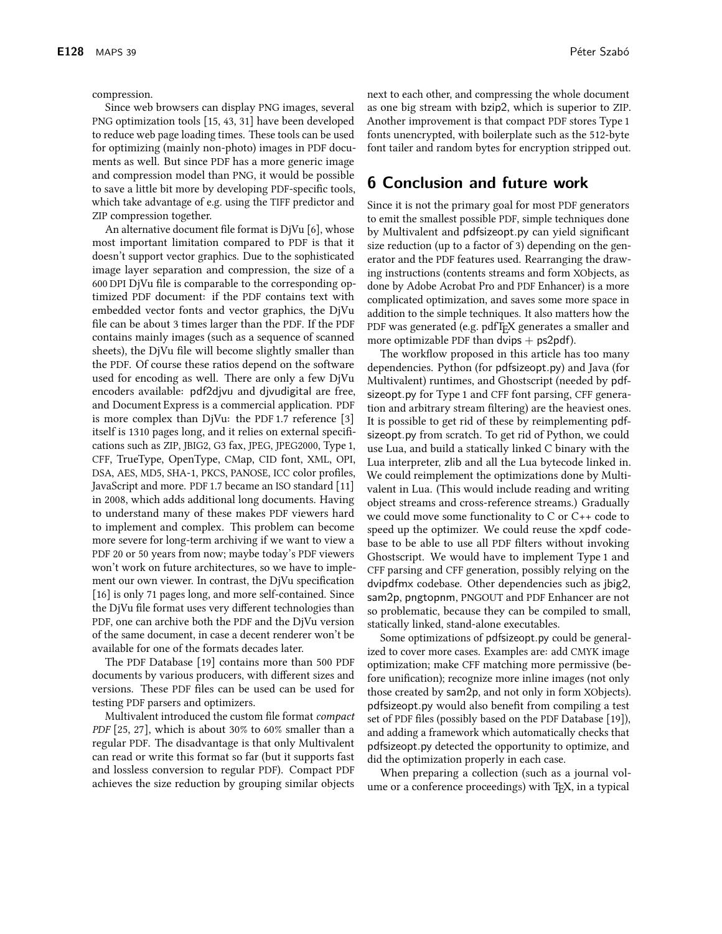compression.

Since web browsers can display PNG images, several PNG optimization tools [15, 43, 31] have been developed to reduce web page loading times. These tools can be used for optimizing (mainly non-photo) images in PDF documents as well. But since PDF has a more generic image and compression model than PNG, it would be possible to save a little bit more by developing PDF-specific tools, which take advantage of e.g. using the TIFF predictor and ZIP compression together.

An alternative document file format is DjVu [6], whose most important limitation compared to PDF is that it doesn't support vector graphics. Due to the sophisticated image layer separation and compression, the size of a 600 DPI DjVu file is comparable to the corresponding optimized PDF document: if the PDF contains text with embedded vector fonts and vector graphics, the DjVu file can be about 3 times larger than the PDF. If the PDF contains mainly images (such as a sequence of scanned sheets), the DjVu file will become slightly smaller than the PDF. Of course these ratios depend on the software used for encoding as well. There are only a few DjVu encoders available: pdf2djvu and djvudigital are free, and Document Express is a commercial application. PDF is more complex than DjVu: the PDF 1.7 reference [3] itself is 1310 pages long, and it relies on external specifications such as ZIP, JBIG2, G3 fax, JPEG, JPEG2000, Type 1, CFF, TrueType, OpenType, CMap, CID font, XML, OPI, DSA, AES, MD5, SHA-1, PKCS, PANOSE, ICC color profiles, JavaScript and more. PDF 1.7 became an ISO standard [11] in 2008, which adds additional long documents. Having to understand many of these makes PDF viewers hard to implement and complex. This problem can become more severe for long-term archiving if we want to view a PDF 20 or 50 years from now; maybe today's PDF viewers won't work on future architectures, so we have to implement our own viewer. In contrast, the DjVu specification [16] is only 71 pages long, and more self-contained. Since the DjVu file format uses very different technologies than PDF, one can archive both the PDF and the DjVu version of the same document, in case a decent renderer won't be available for one of the formats decades later.

The PDF Database [19] contains more than 500 PDF documents by various producers, with different sizes and versions. These PDF files can be used can be used for testing PDF parsers and optimizers.

Multivalent introduced the custom file format *compact* PDF [25, 27], which is about 30% to 60% smaller than a regular PDF. The disadvantage is that only Multivalent can read or write this format so far (but it supports fast and lossless conversion to regular PDF). Compact PDF achieves the size reduction by grouping similar objects

next to each other, and compressing the whole document as one big stream with bzip2, which is superior to ZIP. Another improvement is that compact PDF stores Type 1 fonts unencrypted, with boilerplate such as the 512-byte font tailer and random bytes for encryption stripped out.

# **6 Conclusion and future work**

Since it is not the primary goal for most PDF generators to emit the smallest possible PDF, simple techniques done by Multivalent and pdfsizeopt.py can yield significant size reduction (up to a factor of 3) depending on the generator and the PDF features used. Rearranging the drawing instructions (contents streams and form XObjects, as done by Adobe Acrobat Pro and PDF Enhancer) is a more complicated optimization, and saves some more space in addition to the simple techniques. It also matters how the PDF was generated (e.g. pdfTFX generates a smaller and more optimizable PDF than  $divips + ps2pdf$ .

The workflow proposed in this article has too many dependencies. Python (for pdfsizeopt.py) and Java (for Multivalent) runtimes, and Ghostscript (needed by pdfsizeopt py for Type 1 and CFF font parsing, CFF generation and arbitrary stream filtering) are the heaviest ones. It is possible to get rid of these by reimplementing pdfsizeopt py from scratch. To get rid of Python, we could use Lua, and build a statically linked C binary with the Lua interpreter, zlib and all the Lua bytecode linked in. We could reimplement the optimizations done by Multivalent in Lua. (This would include reading and writing object streams and cross-reference streams.) Gradually we could move some functionality to  $C$  or  $C_{++}$  code to speed up the optimizer. We could reuse the xpdf codebase to be able to use all PDF filters without invoking Ghostscript. We would have to implement Type 1 and CFF parsing and CFF generation, possibly relying on the dvipdfmx codebase. Other dependencies such as jbig2, sam2p, pngtopnm, PNGOUT and PDF Enhancer are not so problematic, because they can be compiled to small, statically linked, stand-alone executables.

Some optimizations of pdfsizeopt.py could be generalized to cover more cases. Examples are: add CMYK image optimization; make CFF matching more permissive (before unification); recognize more inline images (not only those created by sam2p, and not only in form XObjects). pdfsizeopt.py would also benefit from compiling a test set of PDF files (possibly based on the PDF Database [19]), and adding a framework which automatically checks that pdfsizeopt.py detected the opportunity to optimize, and did the optimization properly in each case.

When preparing a collection (such as a journal volume or a conference proceedings) with T<sub>F</sub>X, in a typical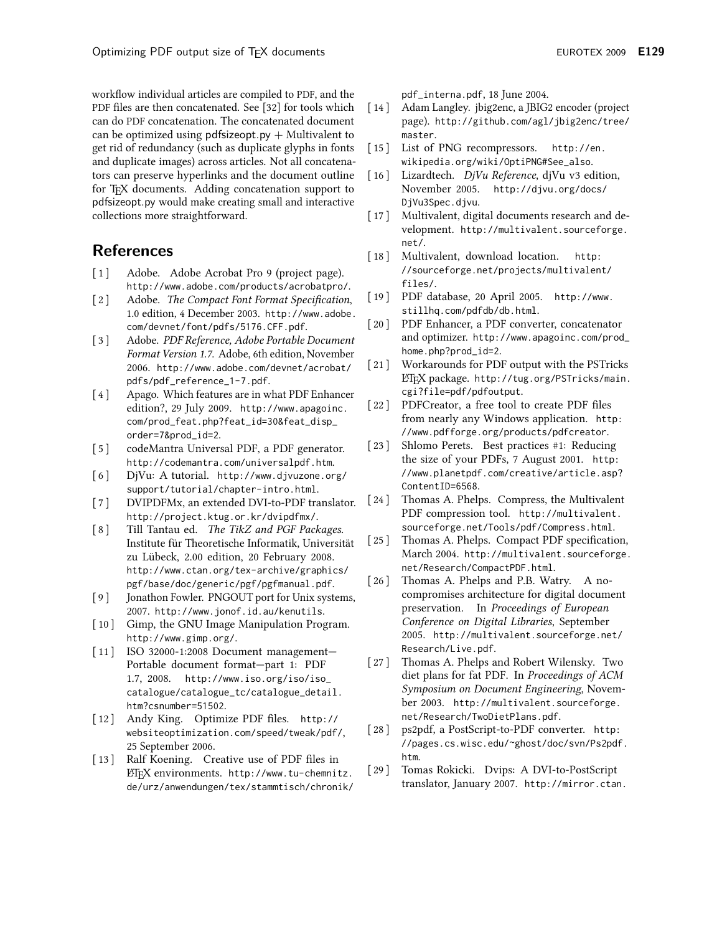workflow individual articles are compiled to PDF, and the PDF files are then concatenated. See [32] for tools which can do PDF concatenation. The concatenated document can be optimized using  $pdfsizeopt.py + Multivalent to$ get rid of redundancy (such as duplicate glyphs in fonts and duplicate images) across articles. Not all concatenators can preserve hyperlinks and the document outline for T<sub>F</sub>X documents. Adding concatenation support to pdfsizeopt.py would make creating small and interactive collections more straightforward.

# **References**

- $\lceil 1 \rceil$ Adobe. Adobe Acrobat Pro 9 (project page). http://www.adobe.com/products/acrobatpro/.
- $\lceil 2 \rceil$ Adobe. The Compact Font Format Specification, 1.0 edition, 4 December 2003. http://www.adobe. com/devnet/font/pdfs/5176.CFF.pdf.
- $\lceil 3 \rceil$ Adobe. PDF Reference, Adobe Portable Document Format Version 1.7. Adobe, 6th edition, November 2006. http://www.adobe.com/devnet/acrobat/ pdfs/pdf\_reference\_1-7.pdf.
- $[4]$ Apago. Which features are in what PDF Enhancer edition?, 29 July 2009. http://www.apagoinc. com/prod\_feat.php?feat\_id=30&feat\_disp\_ order=7&prod\_id=2.
- $\lceil 5 \rceil$ codeMantra Universal PDF, a PDF generator. http://codemantra.com/universalpdf.htm.
- $\lceil 6 \rceil$ DjVu: A tutorial. http://www.djvuzone.org/ support/tutorial/chapter-intro.html.
- $\left[\begin{array}{c} 7 \end{array}\right]$ DVIPDFMx, an extended DVI-to-PDF translator. http://project.ktug.or.kr/dvipdfmx/.
- Till Tantau ed. The TikZ and PGF Packages.  $\lceil 8 \rceil$ Institute für Theoretische Informatik, Universität zu Lübeck, 2.00 edition, 20 February 2008. http://www.ctan.org/tex-archive/graphics/ pgf/base/doc/generic/pgf/pgfmanual.pdf.
- Jonathon Fowler. PNGOUT port for Unix systems,  $[9]$ 2007. http://www.jonof.id.au/kenutils.
- [10] Gimp, the GNU Image Manipulation Program. http://www.gimp.org/.
- [11] ISO 32000-1:2008 Document management-Portable document format-part 1: PDF 1.7, 2008. http://www.iso.org/iso/iso\_ catalogue/catalogue\_tc/catalogue\_detail. htm?csnumber=51502.
- [12] Andy King. Optimize PDF files. http:// websiteoptimization.com/speed/tweak/pdf/, 25 September 2006.
- [13] Ralf Koening. Creative use of PDF files in ETFX environments. http://www.tu-chemnitz. de/urz/anwendungen/tex/stammtisch/chronik/

pdf\_interna.pdf, 18 June 2004.

- $\lceil 14 \rceil$ Adam Langley. jbig2enc, a JBIG2 encoder (project page). http://github.com/agl/jbig2enc/tree/ master.
- $\lceil 15 \rceil$ List of PNG recompressors. http://en. wikipedia.org/wiki/OptiPNG#See\_also.
- Lizardtech. DjVu Reference, djVu v3 edition,  $\lceil 16 \rceil$ November 2005. http://djvu.org/docs/ DjVu3Spec.djvu.
- $\lceil 17 \rceil$ Multivalent, digital documents research and development. http://multivalent.sourceforge. net/.
- Multivalent, download location.  $\left[ \begin{array}{c} 18 \end{array} \right]$ http: //sourceforge.net/projects/multivalent/ files/.
- $\left[19\right]$ PDF database, 20 April 2005. http://www. stillhq.com/pdfdb/db.html.
- $\lceil 20 \rceil$ PDF Enhancer, a PDF converter, concatenator and optimizer. http://www.apagoinc.com/prod\_ home.php?prod\_id=2.
- $\lceil 21 \rceil$ Workarounds for PDF output with the PSTricks ETFX package. http://tug.org/PSTricks/main. cgi?file=pdf/pdfoutput.
- $\left[22\right]$ PDFCreator, a free tool to create PDF files from nearly any Windows application. http: //www.pdfforge.org/products/pdfcreator.
- $\left[23\right]$ Shlomo Perets. Best practices #1: Reducing the size of your PDFs, 7 August 2001. http: //www.planetpdf.com/creative/article.asp? ContentID=6568.
- $[24]$ Thomas A. Phelps. Compress, the Multivalent PDF compression tool. http://multivalent. sourceforge.net/Tools/pdf/Compress.html.
- $[25]$ Thomas A. Phelps. Compact PDF specification, March 2004. http://multivalent.sourceforge. net/Research/CompactPDF.html.
- $[26]$ Thomas A. Phelps and P.B. Watry. A nocompromises architecture for digital document preservation. In Proceedings of European Conference on Digital Libraries, September 2005. http://multivalent.sourceforge.net/ Research/Live.pdf.
- $[27]$ Thomas A. Phelps and Robert Wilensky. Two diet plans for fat PDF. In Proceedings of ACM Symposium on Document Engineering, November 2003. http://multivalent.sourceforge. net/Research/TwoDietPlans.pdf.
- $[28]$ ps2pdf, a PostScript-to-PDF converter. http: //pages.cs.wisc.edu/~ghost/doc/svn/Ps2pdf. htm.
- Tomas Rokicki. Dvips: A DVI-to-PostScript  $[29]$ translator, January 2007. http://mirror.ctan.